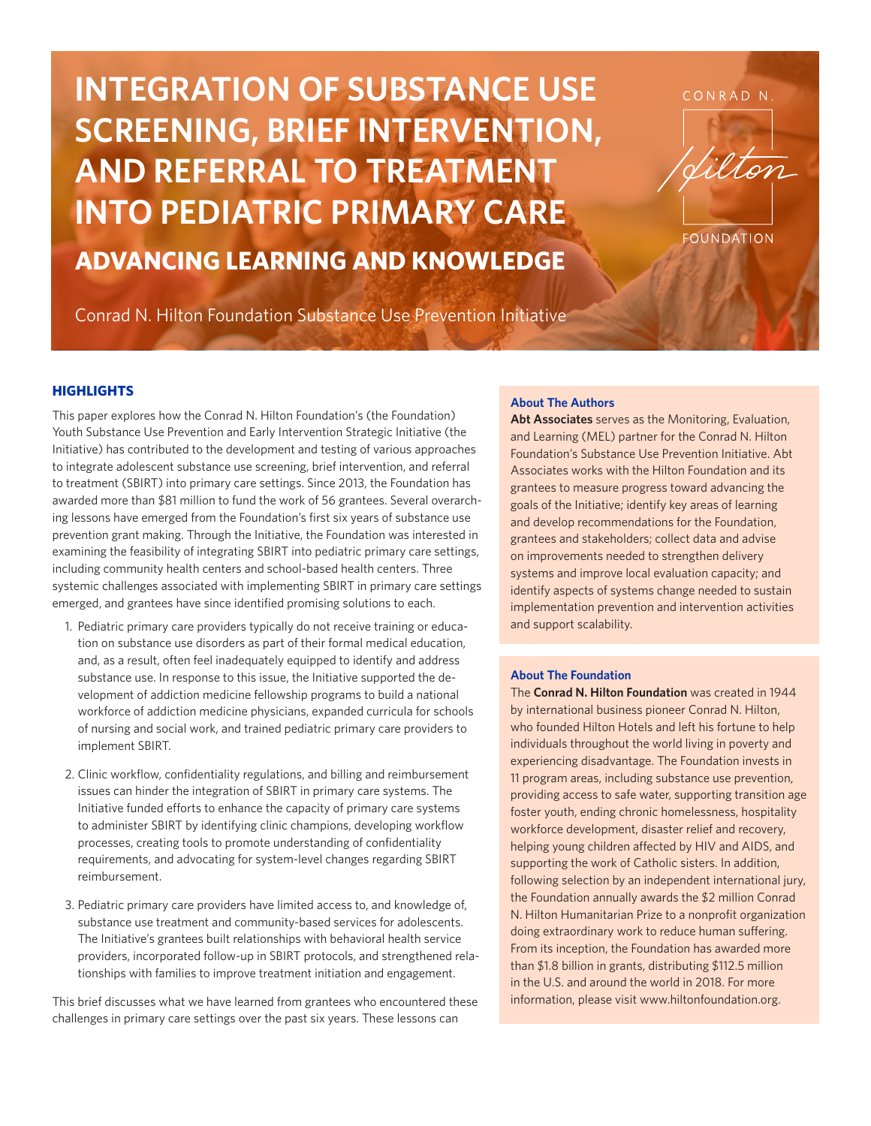**INTEGRATION OF SUBSTANCE USE SCREENING, BRIEF INTERVENTION, AND REFERRAL TO TREATMENT INTO PEDIATRIC PRIMARY CARE ADVANCING LEARNING AND KNOWLEDGE**

Conrad N. Hilton Foundation Substance Use Prevention Initiative

#### **About The Authors**

**Abt Associates** serves as the Monitoring, Evaluation, and Learning (MEL) partner for the Conrad N. Hilton Foundation's Substance Use Prevention Initiative. Abt Associates works with the Hilton Foundation and its grantees to measure progress toward advancing the goals of the Initiative; identify key areas of learning and develop recommendations for the Foundation, grantees and stakeholders; collect data and advise on improvements needed to strengthen delivery systems and improve local evaluation capacity; and identify aspects of systems change needed to sustain implementation prevention and intervention activities and support scalability.

#### **About The Foundation**

The **Conrad N. Hilton Foundation** was created in 1944 by international business pioneer Conrad N. Hilton, who founded Hilton Hotels and left his fortune to help individuals throughout the world living in poverty and experiencing disadvantage. The Foundation invests in 11 program areas, including substance use prevention, providing access to safe water, supporting transition age foster youth, ending chronic homelessness, hospitality workforce development, disaster relief and recovery, helping young children affected by HIV and AIDS, and supporting the work of Catholic sisters. In addition, following selection by an independent international jury, the Foundation annually awards the \$2 million Conrad N. Hilton Humanitarian Prize to a nonprofit organization doing extraordinary work to reduce human suffering. From its inception, the Foundation has awarded more than \$1.8 billion in grants, distributing \$112.5 million in the U.S. and around the world in 2018. For more information, please visit www.hiltonfoundation.org.

#### **HIGHLIGHTS**

This paper explores how the Conrad N. Hilton Foundation's (the Foundation) Youth Substance Use Prevention and Early Intervention Strategic Initiative (the Initiative) has contributed to the development and testing of various approaches to integrate adolescent substance use screening, brief intervention, and referral to treatment (SBIRT) into primary care settings. Since 2013, the Foundation has awarded more than \$81 million to fund the work of 56 grantees. Several overarching lessons have emerged from the Foundation's first six years of substance use prevention grant making. Through the Initiative, the Foundation was interested in examining the feasibility of integrating SBIRT into pediatric primary care settings, including community health centers and school-based health centers. Three systemic challenges associated with implementing SBIRT in primary care settings emerged, and grantees have since identified promising solutions to each.

- 1. Pediatric primary care providers typically do not receive training or education on substance use disorders as part of their formal medical education, and, as a result, often feel inadequately equipped to identify and address substance use. In response to this issue, the Initiative supported the development of addiction medicine fellowship programs to build a national workforce of addiction medicine physicians, expanded curricula for schools of nursing and social work, and trained pediatric primary care providers to implement SBIRT.
- 2. Clinic workflow, confidentiality regulations, and billing and reimbursement issues can hinder the integration of SBIRT in primary care systems. The Initiative funded efforts to enhance the capacity of primary care systems to administer SBIRT by identifying clinic champions, developing workflow processes, creating tools to promote understanding of confidentiality requirements, and advocating for system-level changes regarding SBIRT reimbursement.
- 3. Pediatric primary care providers have limited access to, and knowledge of, substance use treatment and community-based services for adolescents. The Initiative's grantees built relationships with behavioral health service providers, incorporated follow-up in SBIRT protocols, and strengthened relationships with families to improve treatment initiation and engagement.

This brief discusses what we have learned from grantees who encountered these challenges in primary care settings over the past six years. These lessons can

CONRAD N.



**FOUNDATION**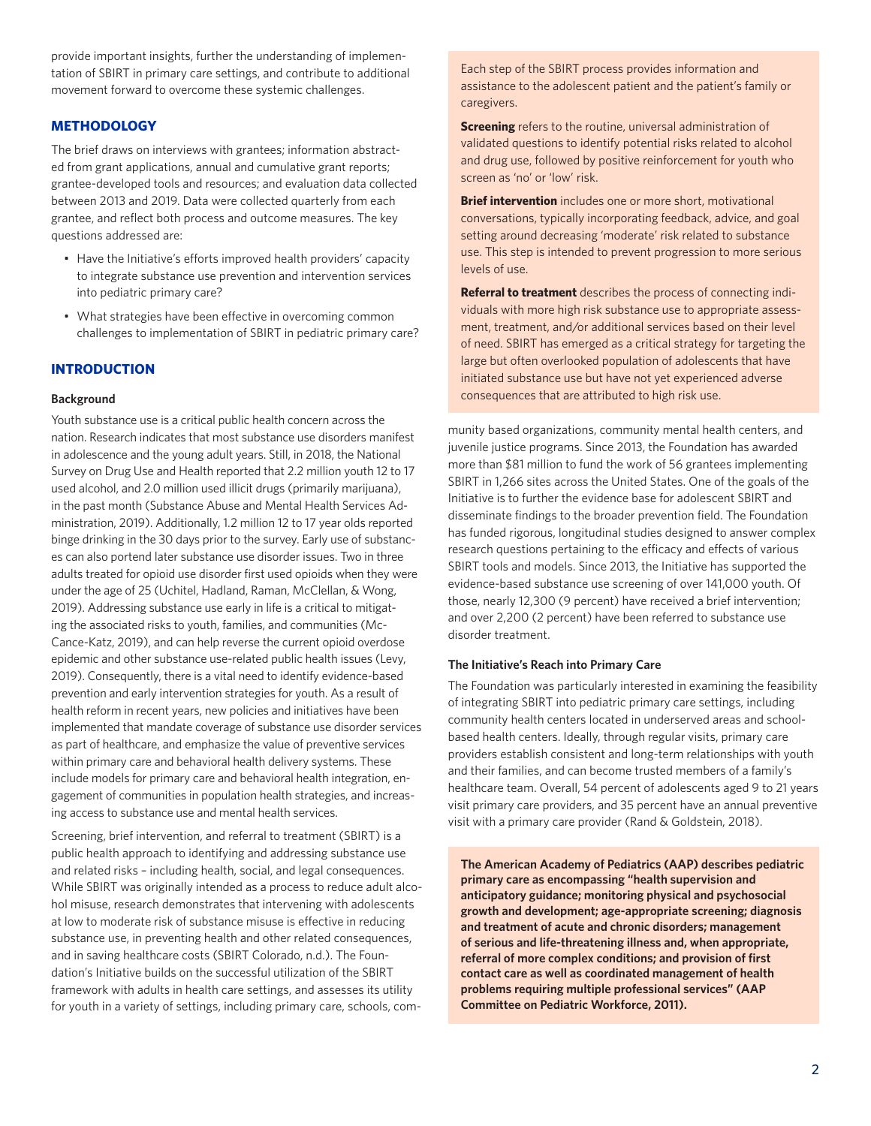provide important insights, further the understanding of implementation of SBIRT in primary care settings, and contribute to additional movement forward to overcome these systemic challenges.

# **METHODOLOGY**

The brief draws on interviews with grantees; information abstracted from grant applications, annual and cumulative grant reports; grantee-developed tools and resources; and evaluation data collected between 2013 and 2019. Data were collected quarterly from each grantee, and reflect both process and outcome measures. The key questions addressed are:

- Have the Initiative's efforts improved health providers' capacity to integrate substance use prevention and intervention services into pediatric primary care?
- What strategies have been effective in overcoming common challenges to implementation of SBIRT in pediatric primary care?

# **INTRODUCTION**

#### **Background**

Youth substance use is a critical public health concern across the nation. Research indicates that most substance use disorders manifest in adolescence and the young adult years. Still, in 2018, the National Survey on Drug Use and Health reported that 2.2 million youth 12 to 17 used alcohol, and 2.0 million used illicit drugs (primarily marijuana), in the past month (Substance Abuse and Mental Health Services Administration, 2019). Additionally, 1.2 million 12 to 17 year olds reported binge drinking in the 30 days prior to the survey. Early use of substances can also portend later substance use disorder issues. Two in three adults treated for opioid use disorder first used opioids when they were under the age of 25 (Uchitel, Hadland, Raman, McClellan, & Wong, 2019). Addressing substance use early in life is a critical to mitigating the associated risks to youth, families, and communities (Mc-Cance-Katz, 2019), and can help reverse the current opioid overdose epidemic and other substance use-related public health issues (Levy, 2019). Consequently, there is a vital need to identify evidence-based prevention and early intervention strategies for youth. As a result of health reform in recent years, new policies and initiatives have been implemented that mandate coverage of substance use disorder services as part of healthcare, and emphasize the value of preventive services within primary care and behavioral health delivery systems. These include models for primary care and behavioral health integration, engagement of communities in population health strategies, and increasing access to substance use and mental health services.

Screening, brief intervention, and referral to treatment (SBIRT) is a public health approach to identifying and addressing substance use and related risks – including health, social, and legal consequences. While SBIRT was originally intended as a process to reduce adult alcohol misuse, research demonstrates that intervening with adolescents at low to moderate risk of substance misuse is effective in reducing substance use, in preventing health and other related consequences, and in saving healthcare costs (SBIRT Colorado, n.d.). The Foundation's Initiative builds on the successful utilization of the SBIRT framework with adults in health care settings, and assesses its utility for youth in a variety of settings, including primary care, schools, comEach step of the SBIRT process provides information and assistance to the adolescent patient and the patient's family or caregivers.

**Screening** refers to the routine, universal administration of validated questions to identify potential risks related to alcohol and drug use, followed by positive reinforcement for youth who screen as 'no' or 'low' risk.

**Brief intervention** includes one or more short, motivational conversations, typically incorporating feedback, advice, and goal setting around decreasing 'moderate' risk related to substance use. This step is intended to prevent progression to more serious levels of use.

**Referral to treatment** describes the process of connecting individuals with more high risk substance use to appropriate assessment, treatment, and/or additional services based on their level of need. SBIRT has emerged as a critical strategy for targeting the large but often overlooked population of adolescents that have initiated substance use but have not yet experienced adverse consequences that are attributed to high risk use.

munity based organizations, community mental health centers, and juvenile justice programs. Since 2013, the Foundation has awarded more than \$81 million to fund the work of 56 grantees implementing SBIRT in 1,266 sites across the United States. One of the goals of the Initiative is to further the evidence base for adolescent SBIRT and disseminate findings to the broader prevention field. The Foundation has funded rigorous, longitudinal studies designed to answer complex research questions pertaining to the efficacy and effects of various SBIRT tools and models. Since 2013, the Initiative has supported the evidence-based substance use screening of over 141,000 youth. Of those, nearly 12,300 (9 percent) have received a brief intervention; and over 2,200 (2 percent) have been referred to substance use disorder treatment.

#### **The Initiative's Reach into Primary Care**

The Foundation was particularly interested in examining the feasibility of integrating SBIRT into pediatric primary care settings, including community health centers located in underserved areas and schoolbased health centers. Ideally, through regular visits, primary care providers establish consistent and long-term relationships with youth and their families, and can become trusted members of a family's healthcare team. Overall, 54 percent of adolescents aged 9 to 21 years visit primary care providers, and 35 percent have an annual preventive visit with a primary care provider (Rand & Goldstein, 2018).

**The American Academy of Pediatrics (AAP) describes pediatric primary care as encompassing "health supervision and anticipatory guidance; monitoring physical and psychosocial growth and development; age-appropriate screening; diagnosis and treatment of acute and chronic disorders; management of serious and life-threatening illness and, when appropriate, referral of more complex conditions; and provision of first contact care as well as coordinated management of health problems requiring multiple professional services" (AAP Committee on Pediatric Workforce, 2011).**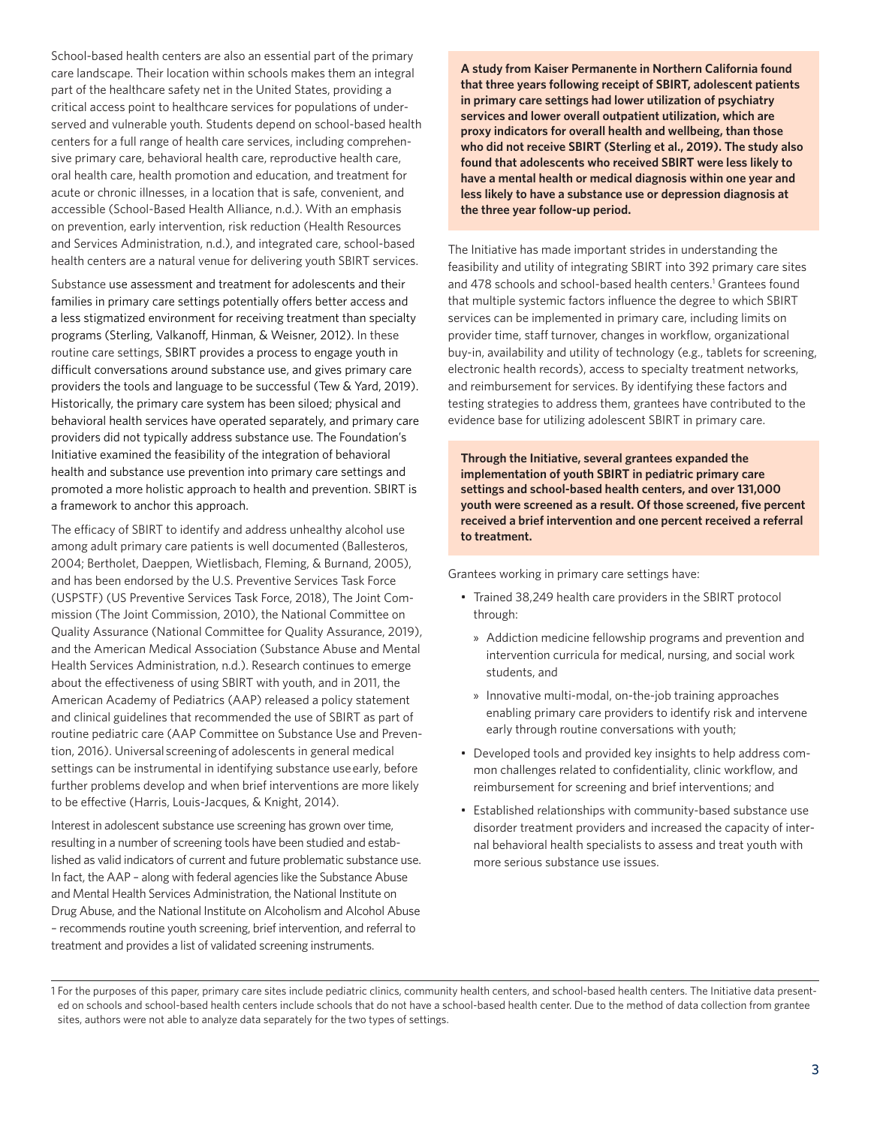School-based health centers are also an essential part of the primary care landscape. Their location within schools makes them an integral part of the healthcare safety net in the United States, providing a critical access point to healthcare services for populations of underserved and vulnerable youth. Students depend on school-based health centers for a full range of health care services, including comprehensive primary care, behavioral health care, reproductive health care, oral health care, health promotion and education, and treatment for acute or chronic illnesses, in a location that is safe, convenient, and accessible (School-Based Health Alliance, n.d.). With an emphasis on prevention, early intervention, risk reduction (Health Resources and Services Administration, n.d.), and integrated care, school-based health centers are a natural venue for delivering youth SBIRT services.

Substance use assessment and treatment for adolescents and their families in primary care settings potentially offers better access and a less stigmatized environment for receiving treatment than specialty programs (Sterling, Valkanoff, Hinman, & Weisner, 2012). In these routine care settings, SBIRT provides a process to engage youth in difficult conversations around substance use, and gives primary care providers the tools and language to be successful (Tew & Yard, 2019). Historically, the primary care system has been siloed; physical and behavioral health services have operated separately, and primary care providers did not typically address substance use. The Foundation's Initiative examined the feasibility of the integration of behavioral health and substance use prevention into primary care settings and promoted a more holistic approach to health and prevention. SBIRT is a framework to anchor this approach.

The efficacy of SBIRT to identify and address unhealthy alcohol use among adult primary care patients is well documented (Ballesteros, 2004; Bertholet, Daeppen, Wietlisbach, Fleming, & Burnand, 2005), and has been endorsed by the U.S. Preventive Services Task Force (USPSTF) (US Preventive Services Task Force, 2018), The Joint Commission (The Joint Commission, 2010), the National Committee on Quality Assurance (National Committee for Quality Assurance, 2019), and the American Medical Association (Substance Abuse and Mental Health Services Administration, n.d.). Research continues to emerge about the effectiveness of using SBIRT with youth, and in 2011, the American Academy of Pediatrics (AAP) released a policy statement and clinical guidelines that recommended the use of SBIRT as part of routine pediatric care (AAP Committee on Substance Use and Prevention, 2016). Universal screening of adolescents in general medical settings can be instrumental in identifying substance use early, before further problems develop and when brief interventions are more likely to be effective (Harris, Louis-Jacques, & Knight, 2014).

Interest in adolescent substance use screening has grown over time, resulting in a number of screening tools have been studied and established as valid indicators of current and future problematic substance use. In fact, the AAP – along with federal agencies like the Substance Abuse and Mental Health Services Administration, the National Institute on Drug Abuse, and the National Institute on Alcoholism and Alcohol Abuse – recommends routine youth screening, brief intervention, and referral to treatment and provides a list of validated screening instruments.

**A study from Kaiser Permanente in Northern California found that three years following receipt of SBIRT, adolescent patients in primary care settings had lower utilization of psychiatry services and lower overall outpatient utilization, which are proxy indicators for overall health and wellbeing, than those who did not receive SBIRT (Sterling et al., 2019). The study also found that adolescents who received SBIRT were less likely to have a mental health or medical diagnosis within one year and less likely to have a substance use or depression diagnosis at the three year follow-up period.**

The Initiative has made important strides in understanding the feasibility and utility of integrating SBIRT into 392 primary care sites and 478 schools and school-based health centers.<sup>1</sup> Grantees found that multiple systemic factors influence the degree to which SBIRT services can be implemented in primary care, including limits on provider time, staff turnover, changes in workflow, organizational buy-in, availability and utility of technology (e.g., tablets for screening, electronic health records), access to specialty treatment networks, and reimbursement for services. By identifying these factors and testing strategies to address them, grantees have contributed to the evidence base for utilizing adolescent SBIRT in primary care.

**Through the Initiative, several grantees expanded the implementation of youth SBIRT in pediatric primary care settings and school-based health centers, and over 131,000 youth were screened as a result. Of those screened, five percent received a brief intervention and one percent received a referral to treatment.** 

Grantees working in primary care settings have:

- Trained 38,249 health care providers in the SBIRT protocol through:
	- » Addiction medicine fellowship programs and prevention and intervention curricula for medical, nursing, and social work students, and
	- » Innovative multi-modal, on-the-job training approaches enabling primary care providers to identify risk and intervene early through routine conversations with youth;
- Developed tools and provided key insights to help address common challenges related to confidentiality, clinic workflow, and reimbursement for screening and brief interventions; and
- Established relationships with community-based substance use disorder treatment providers and increased the capacity of internal behavioral health specialists to assess and treat youth with more serious substance use issues.

<sup>1</sup> For the purposes of this paper, primary care sites include pediatric clinics, community health centers, and school-based health centers. The Initiative data presented on schools and school-based health centers include schools that do not have a school-based health center. Due to the method of data collection from grantee sites, authors were not able to analyze data separately for the two types of settings.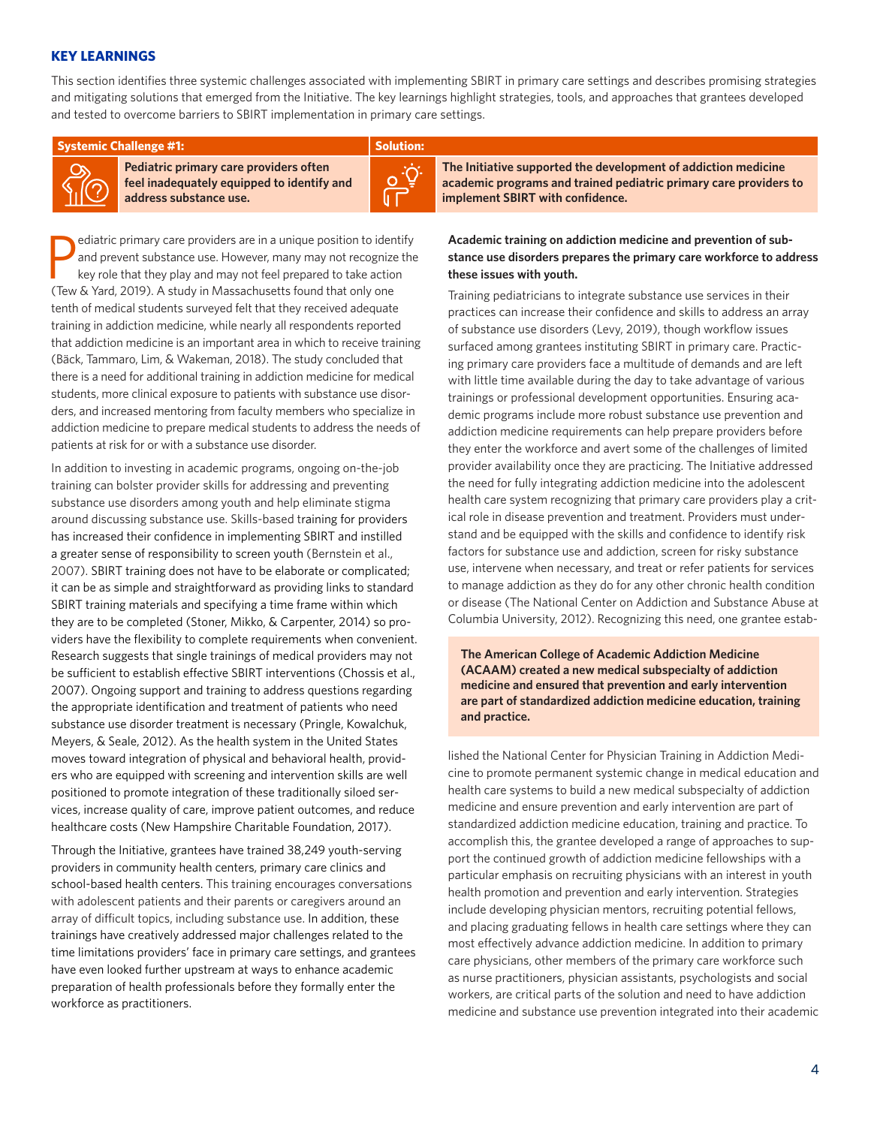# **KEY LEARNINGS**

This section identifies three systemic challenges associated with implementing SBIRT in primary care settings and describes promising strategies and mitigating solutions that emerged from the Initiative. The key learnings highlight strategies, tools, and approaches that grantees developed and tested to overcome barriers to SBIRT implementation in primary care settings.

**Systemic Challenge #1: Systemic Challenge #1: Solution: Systemic Challenge #1: Solution:** 

**Pediatric primary care providers often feel inadequately equipped to identify and address substance use.**



P<sub>T</sub> ediatric primary care providers are in a unique position to identify and prevent substance use. However, many may not recognize the key role that they play and may not feel prepared to take action (Tew & Yard, 2019). A study in Massachusetts found that only one tenth of medical students surveyed felt that they received adequate training in addiction medicine, while nearly all respondents reported that addiction medicine is an important area in which to receive training (Bäck, Tammaro, Lim, & Wakeman, 2018). The study concluded that there is a need for additional training in addiction medicine for medical students, more clinical exposure to patients with substance use disorders, and increased mentoring from faculty members who specialize in addiction medicine to prepare medical students to address the needs of patients at risk for or with a substance use disorder.

In addition to investing in academic programs, ongoing on-the-job training can bolster provider skills for addressing and preventing substance use disorders among youth and help eliminate stigma around discussing substance use. Skills-based training for providers has increased their confidence in implementing SBIRT and instilled a greater sense of responsibility to screen youth (Bernstein et al., 2007). SBIRT training does not have to be elaborate or complicated; it can be as simple and straightforward as providing links to standard SBIRT training materials and specifying a time frame within which they are to be completed (Stoner, Mikko, & Carpenter, 2014) so providers have the flexibility to complete requirements when convenient. Research suggests that single trainings of medical providers may not be sufficient to establish effective SBIRT interventions (Chossis et al., 2007). Ongoing support and training to address questions regarding the appropriate identification and treatment of patients who need substance use disorder treatment is necessary (Pringle, Kowalchuk, Meyers, & Seale, 2012). As the health system in the United States moves toward integration of physical and behavioral health, providers who are equipped with screening and intervention skills are well positioned to promote integration of these traditionally siloed services, increase quality of care, improve patient outcomes, and reduce healthcare costs (New Hampshire Charitable Foundation, 2017).

Through the Initiative, grantees have trained 38,249 youth-serving providers in community health centers, primary care clinics and school-based health centers. This training encourages conversations with adolescent patients and their parents or caregivers around an array of difficult topics, including substance use. In addition, these trainings have creatively addressed major challenges related to the time limitations providers' face in primary care settings, and grantees have even looked further upstream at ways to enhance academic preparation of health professionals before they formally enter the workforce as practitioners.

**The Initiative supported the development of addiction medicine academic programs and trained pediatric primary care providers to implement SBIRT with confidence.**

# **Academic training on addiction medicine and prevention of substance use disorders prepares the primary care workforce to address these issues with youth.**

Training pediatricians to integrate substance use services in their practices can increase their confidence and skills to address an array of substance use disorders (Levy, 2019), though workflow issues surfaced among grantees instituting SBIRT in primary care. Practicing primary care providers face a multitude of demands and are left with little time available during the day to take advantage of various trainings or professional development opportunities. Ensuring academic programs include more robust substance use prevention and addiction medicine requirements can help prepare providers before they enter the workforce and avert some of the challenges of limited provider availability once they are practicing. The Initiative addressed the need for fully integrating addiction medicine into the adolescent health care system recognizing that primary care providers play a critical role in disease prevention and treatment. Providers must understand and be equipped with the skills and confidence to identify risk factors for substance use and addiction, screen for risky substance use, intervene when necessary, and treat or refer patients for services to manage addiction as they do for any other chronic health condition or disease (The National Center on Addiction and Substance Abuse at Columbia University, 2012). Recognizing this need, one grantee estab-

**The American College of Academic Addiction Medicine (ACAAM) created a new medical subspecialty of addiction medicine and ensured that prevention and early intervention are part of standardized addiction medicine education, training and practice.**

lished the National Center for Physician Training in Addiction Medicine to promote permanent systemic change in medical education and health care systems to build a new medical subspecialty of addiction medicine and ensure prevention and early intervention are part of standardized addiction medicine education, training and practice. To accomplish this, the grantee developed a range of approaches to support the continued growth of addiction medicine fellowships with a particular emphasis on recruiting physicians with an interest in youth health promotion and prevention and early intervention. Strategies include developing physician mentors, recruiting potential fellows, and placing graduating fellows in health care settings where they can most effectively advance addiction medicine. In addition to primary care physicians, other members of the primary care workforce such as nurse practitioners, physician assistants, psychologists and social workers, are critical parts of the solution and need to have addiction medicine and substance use prevention integrated into their academic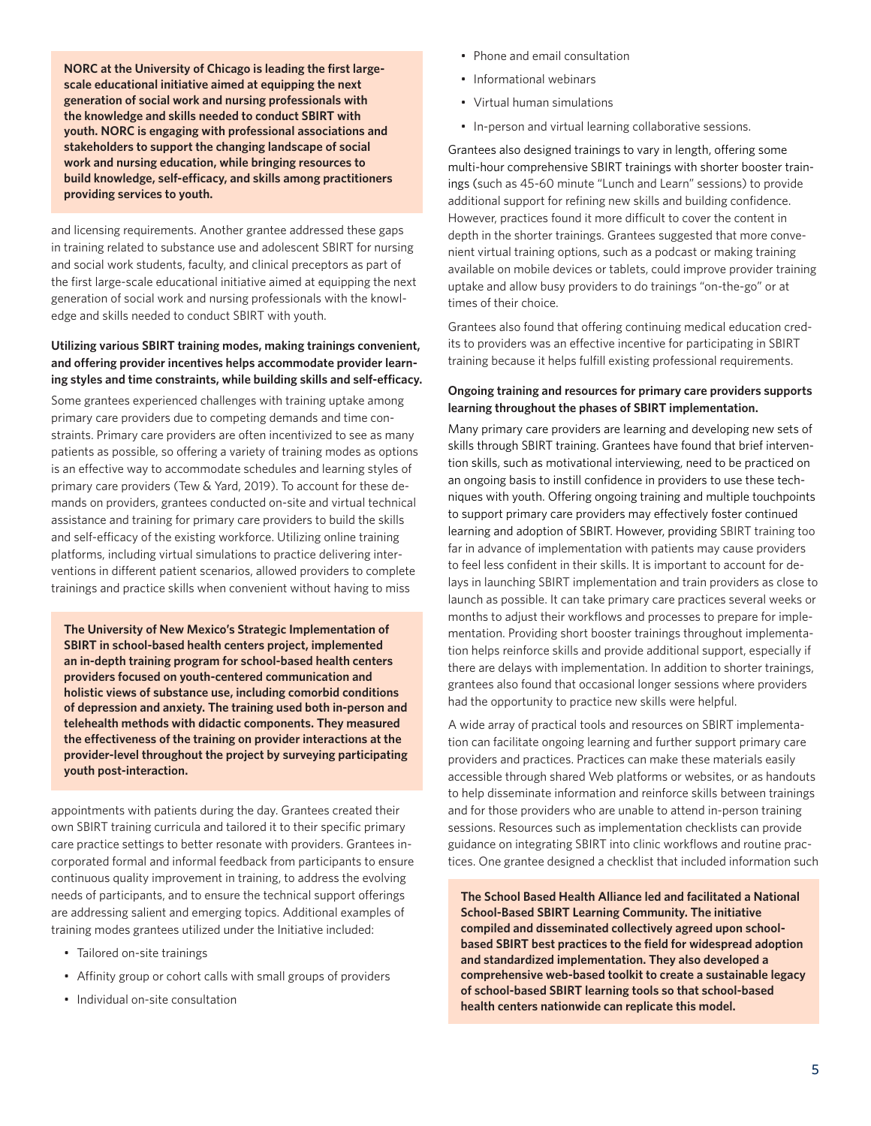**NORC at the University of Chicago is leading the first largescale educational initiative aimed at equipping the next generation of social work and nursing professionals with the knowledge and skills needed to conduct SBIRT with youth. NORC is engaging with professional associations and stakeholders to support the changing landscape of social work and nursing education, while bringing resources to build knowledge, self-efficacy, and skills among practitioners providing services to youth.** 

and licensing requirements. Another grantee addressed these gaps in training related to substance use and adolescent SBIRT for nursing and social work students, faculty, and clinical preceptors as part of the first large-scale educational initiative aimed at equipping the next generation of social work and nursing professionals with the knowledge and skills needed to conduct SBIRT with youth.

# **Utilizing various SBIRT training modes, making trainings convenient, and offering provider incentives helps accommodate provider learning styles and time constraints, while building skills and self-efficacy.**

Some grantees experienced challenges with training uptake among primary care providers due to competing demands and time constraints. Primary care providers are often incentivized to see as many patients as possible, so offering a variety of training modes as options is an effective way to accommodate schedules and learning styles of primary care providers (Tew & Yard, 2019). To account for these demands on providers, grantees conducted on-site and virtual technical assistance and training for primary care providers to build the skills and self-efficacy of the existing workforce. Utilizing online training platforms, including virtual simulations to practice delivering interventions in different patient scenarios, allowed providers to complete trainings and practice skills when convenient without having to miss

**The University of New Mexico's Strategic Implementation of SBIRT in school-based health centers project, implemented an in-depth training program for school-based health centers providers focused on youth-centered communication and holistic views of substance use, including comorbid conditions of depression and anxiety. The training used both in-person and telehealth methods with didactic components. They measured the effectiveness of the training on provider interactions at the provider-level throughout the project by surveying participating youth post-interaction.** 

appointments with patients during the day. Grantees created their own SBIRT training curricula and tailored it to their specific primary care practice settings to better resonate with providers. Grantees incorporated formal and informal feedback from participants to ensure continuous quality improvement in training, to address the evolving needs of participants, and to ensure the technical support offerings are addressing salient and emerging topics. Additional examples of training modes grantees utilized under the Initiative included:

- Tailored on-site trainings
- Affinity group or cohort calls with small groups of providers
- Individual on-site consultation
- Phone and email consultation
- Informational webinars
- Virtual human simulations
- In-person and virtual learning collaborative sessions.

Grantees also designed trainings to vary in length, offering some multi-hour comprehensive SBIRT trainings with shorter booster trainings (such as 45-60 minute "Lunch and Learn" sessions) to provide additional support for refining new skills and building confidence. However, practices found it more difficult to cover the content in depth in the shorter trainings. Grantees suggested that more convenient virtual training options, such as a podcast or making training available on mobile devices or tablets, could improve provider training uptake and allow busy providers to do trainings "on-the-go" or at times of their choice.

Grantees also found that offering continuing medical education credits to providers was an effective incentive for participating in SBIRT training because it helps fulfill existing professional requirements.

# **Ongoing training and resources for primary care providers supports learning throughout the phases of SBIRT implementation.**

Many primary care providers are learning and developing new sets of skills through SBIRT training. Grantees have found that brief intervention skills, such as motivational interviewing, need to be practiced on an ongoing basis to instill confidence in providers to use these techniques with youth. Offering ongoing training and multiple touchpoints to support primary care providers may effectively foster continued learning and adoption of SBIRT. However, providing SBIRT training too far in advance of implementation with patients may cause providers to feel less confident in their skills. It is important to account for delays in launching SBIRT implementation and train providers as close to launch as possible. It can take primary care practices several weeks or months to adjust their workflows and processes to prepare for implementation. Providing short booster trainings throughout implementation helps reinforce skills and provide additional support, especially if there are delays with implementation. In addition to shorter trainings, grantees also found that occasional longer sessions where providers had the opportunity to practice new skills were helpful.

A wide array of practical tools and resources on SBIRT implementation can facilitate ongoing learning and further support primary care providers and practices. Practices can make these materials easily accessible through shared Web platforms or websites, or as handouts to help disseminate information and reinforce skills between trainings and for those providers who are unable to attend in-person training sessions. Resources such as implementation checklists can provide guidance on integrating SBIRT into clinic workflows and routine practices. One grantee designed a checklist that included information such

**The School Based Health Alliance led and facilitated a National School-Based SBIRT Learning Community. The initiative compiled and disseminated collectively agreed upon schoolbased SBIRT best practices to the field for widespread adoption and standardized implementation. They also developed a comprehensive web-based toolkit to create a sustainable legacy of school-based SBIRT learning tools so that school-based health centers nationwide can replicate this model.**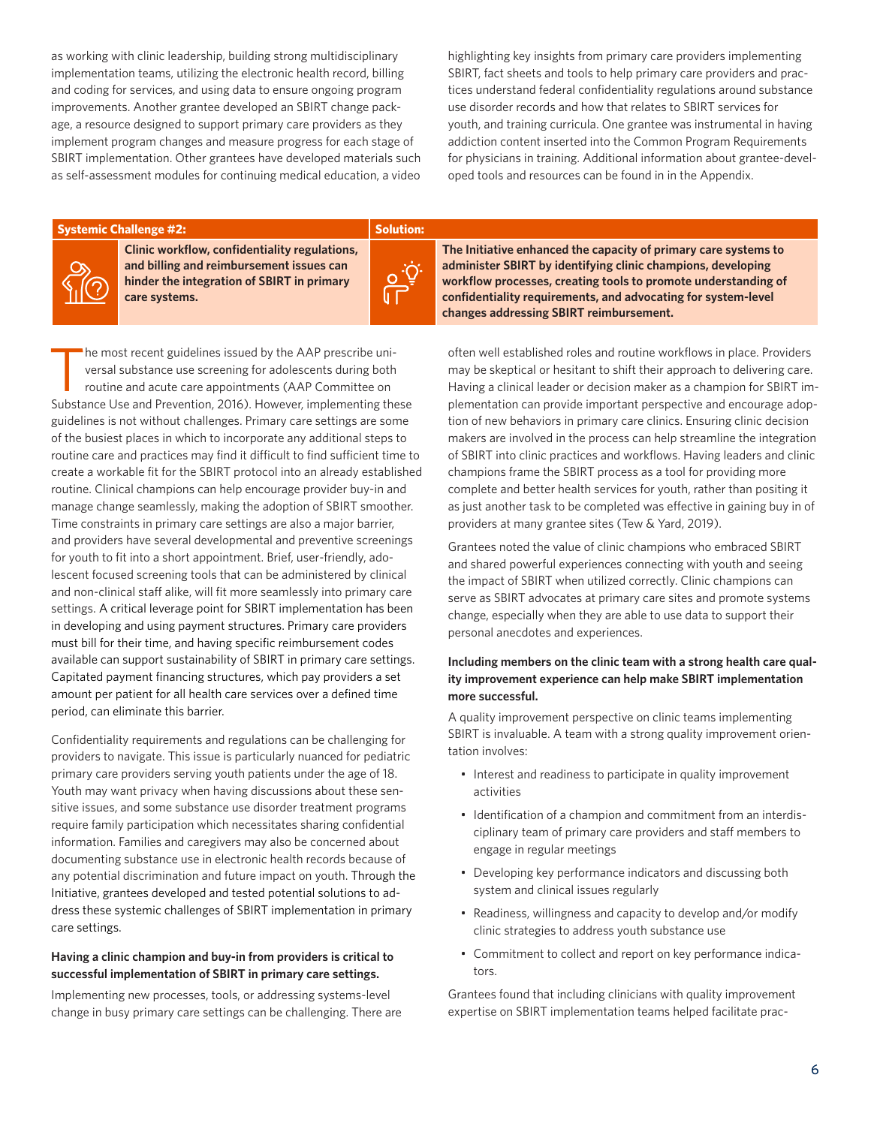as working with clinic leadership, building strong multidisciplinary implementation teams, utilizing the electronic health record, billing and coding for services, and using data to ensure ongoing program improvements. Another grantee developed an SBIRT change package, a resource designed to support primary care providers as they implement program changes and measure progress for each stage of SBIRT implementation. Other grantees have developed materials such as self-assessment modules for continuing medical education, a video highlighting key insights from primary care providers implementing SBIRT, fact sheets and tools to help primary care providers and practices understand federal confidentiality regulations around substance use disorder records and how that relates to SBIRT services for youth, and training curricula. One grantee was instrumental in having addiction content inserted into the Common Program Requirements for physicians in training. Additional information about grantee-developed tools and resources can be found in in the Appendix.

#### **Systemic Challenge #2: Systemic Challenge #2: Solution: Solution: Solution:**



**Clinic workflow, confidentiality regulations, and billing and reimbursement issues can hinder the integration of SBIRT in primary care systems.**



he most recent guidelines issued by the AAP prescribe universal substance use screening for adolescents during both routine and acute care appointments (AAP Committee on Substance Use and Prevention, 2016). However, implementing these guidelines is not without challenges. Primary care settings are some of the busiest places in which to incorporate any additional steps to routine care and practices may find it difficult to find sufficient time to create a workable fit for the SBIRT protocol into an already established routine. Clinical champions can help encourage provider buy-in and manage change seamlessly, making the adoption of SBIRT smoother. Time constraints in primary care settings are also a major barrier, and providers have several developmental and preventive screenings for youth to fit into a short appointment. Brief, user-friendly, adolescent focused screening tools that can be administered by clinical and non-clinical staff alike, will fit more seamlessly into primary care settings. A critical leverage point for SBIRT implementation has been in developing and using payment structures. Primary care providers must bill for their time, and having specific reimbursement codes available can support sustainability of SBIRT in primary care settings. Capitated payment financing structures, which pay providers a set amount per patient for all health care services over a defined time period, can eliminate this barrier.

Confidentiality requirements and regulations can be challenging for providers to navigate. This issue is particularly nuanced for pediatric primary care providers serving youth patients under the age of 18. Youth may want privacy when having discussions about these sensitive issues, and some substance use disorder treatment programs require family participation which necessitates sharing confidential information. Families and caregivers may also be concerned about documenting substance use in electronic health records because of any potential discrimination and future impact on youth. Through the Initiative, grantees developed and tested potential solutions to address these systemic challenges of SBIRT implementation in primary care settings.

#### **Having a clinic champion and buy-in from providers is critical to successful implementation of SBIRT in primary care settings.**

Implementing new processes, tools, or addressing systems-level change in busy primary care settings can be challenging. There are **The Initiative enhanced the capacity of primary care systems to administer SBIRT by identifying clinic champions, developing workflow processes, creating tools to promote understanding of confidentiality requirements, and advocating for system-level changes addressing SBIRT reimbursement.** 

often well established roles and routine workflows in place. Providers may be skeptical or hesitant to shift their approach to delivering care. Having a clinical leader or decision maker as a champion for SBIRT implementation can provide important perspective and encourage adoption of new behaviors in primary care clinics. Ensuring clinic decision makers are involved in the process can help streamline the integration of SBIRT into clinic practices and workflows. Having leaders and clinic champions frame the SBIRT process as a tool for providing more complete and better health services for youth, rather than positing it as just another task to be completed was effective in gaining buy in of providers at many grantee sites (Tew & Yard, 2019).

Grantees noted the value of clinic champions who embraced SBIRT and shared powerful experiences connecting with youth and seeing the impact of SBIRT when utilized correctly. Clinic champions can serve as SBIRT advocates at primary care sites and promote systems change, especially when they are able to use data to support their personal anecdotes and experiences.

# **Including members on the clinic team with a strong health care quality improvement experience can help make SBIRT implementation more successful.**

A quality improvement perspective on clinic teams implementing SBIRT is invaluable. A team with a strong quality improvement orientation involves:

- Interest and readiness to participate in quality improvement activities
- Identification of a champion and commitment from an interdisciplinary team of primary care providers and staff members to engage in regular meetings
- Developing key performance indicators and discussing both system and clinical issues regularly
- Readiness, willingness and capacity to develop and/or modify clinic strategies to address youth substance use
- Commitment to collect and report on key performance indicators.

Grantees found that including clinicians with quality improvement expertise on SBIRT implementation teams helped facilitate prac-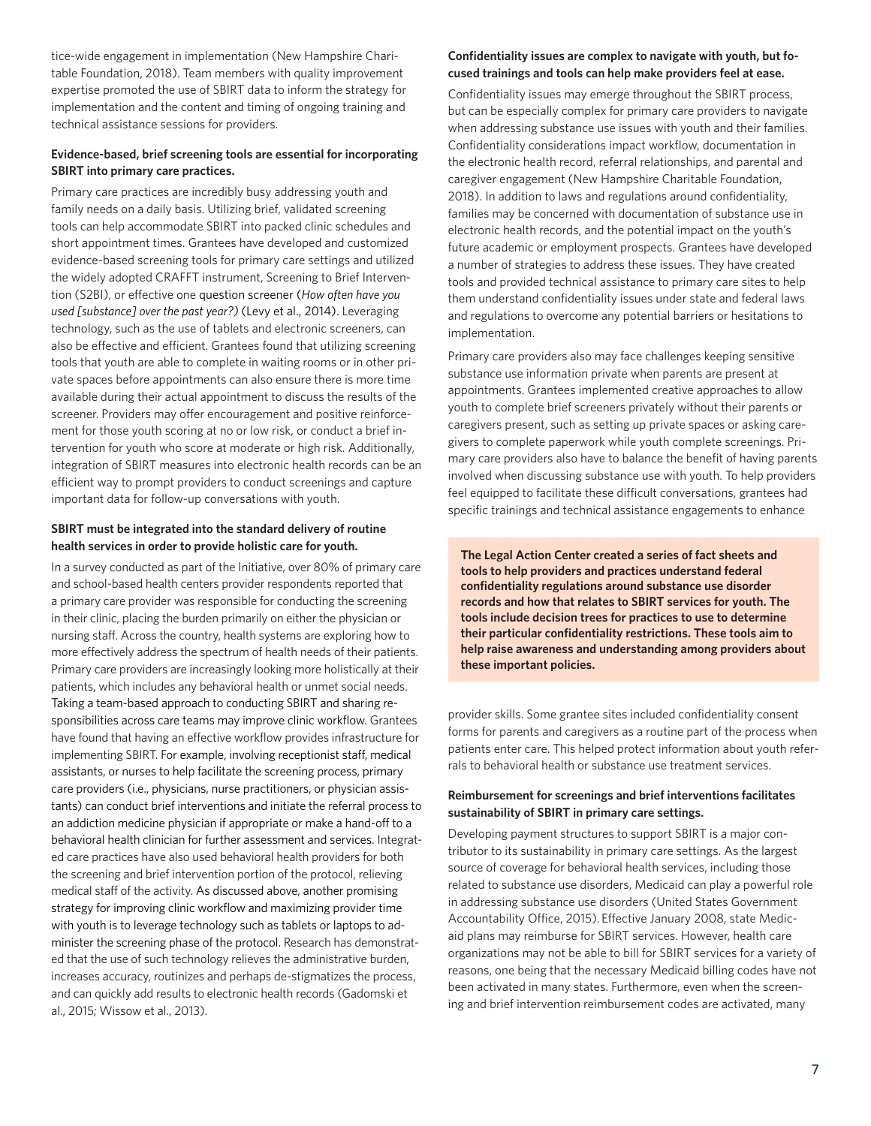tice-wide engagement in implementation (New Hampshire Charitable Foundation, 2018). Team members with quality improvement expertise promoted the use of SBIRT data to inform the strategy for implementation and the content and timing of ongoing training and technical assistance sessions for providers.

# **Evidence-based, brief screening tools are essential for incorporating SBIRT into primary care practices.**

Primary care practices are incredibly busy addressing youth and family needs on a daily basis. Utilizing brief, validated screening tools can help accommodate SBIRT into packed clinic schedules and short appointment times. Grantees have developed and customized evidence-based screening tools for primary care settings and utilized the widely adopted CRAFFT instrument, Screening to Brief Intervention (S2BI), or effective one question screener (*How often have you used [substance] over the past year?)* (Levy et al., 2014). Leveraging technology, such as the use of tablets and electronic screeners, can also be effective and efficient. Grantees found that utilizing screening tools that youth are able to complete in waiting rooms or in other private spaces before appointments can also ensure there is more time available during their actual appointment to discuss the results of the screener. Providers may offer encouragement and positive reinforcement for those youth scoring at no or low risk, or conduct a brief intervention for youth who score at moderate or high risk. Additionally, integration of SBIRT measures into electronic health records can be an efficient way to prompt providers to conduct screenings and capture important data for follow-up conversations with youth.

# **SBIRT must be integrated into the standard delivery of routine health services in order to provide holistic care for youth.**

In a survey conducted as part of the Initiative, over 80% of primary care and school-based health centers provider respondents reported that a primary care provider was responsible for conducting the screening in their clinic, placing the burden primarily on either the physician or nursing staff. Across the country, health systems are exploring how to more effectively address the spectrum of health needs of their patients. Primary care providers are increasingly looking more holistically at their patients, which includes any behavioral health or unmet social needs. Taking a team-based approach to conducting SBIRT and sharing responsibilities across care teams may improve clinic workflow. Grantees have found that having an effective workflow provides infrastructure for implementing SBIRT. For example, involving receptionist staff, medical assistants, or nurses to help facilitate the screening process, primary care providers (i.e., physicians, nurse practitioners, or physician assistants) can conduct brief interventions and initiate the referral process to an addiction medicine physician if appropriate or make a hand-off to a behavioral health clinician for further assessment and services. Integrated care practices have also used behavioral health providers for both the screening and brief intervention portion of the protocol, relieving medical staff of the activity. As discussed above, another promising strategy for improving clinic workflow and maximizing provider time with youth is to leverage technology such as tablets or laptops to administer the screening phase of the protocol. Research has demonstrated that the use of such technology relieves the administrative burden, increases accuracy, routinizes and perhaps de-stigmatizes the process, and can quickly add results to electronic health records (Gadomski et al., 2015; Wissow et al., 2013).

# **Confidentiality issues are complex to navigate with youth, but focused trainings and tools can help make providers feel at ease.**

Confidentiality issues may emerge throughout the SBIRT process, but can be especially complex for primary care providers to navigate when addressing substance use issues with youth and their families. Confidentiality considerations impact workflow, documentation in the electronic health record, referral relationships, and parental and caregiver engagement (New Hampshire Charitable Foundation, 2018). In addition to laws and regulations around confidentiality, families may be concerned with documentation of substance use in electronic health records, and the potential impact on the youth's future academic or employment prospects. Grantees have developed a number of strategies to address these issues. They have created tools and provided technical assistance to primary care sites to help them understand confidentiality issues under state and federal laws and regulations to overcome any potential barriers or hesitations to implementation.

Primary care providers also may face challenges keeping sensitive substance use information private when parents are present at appointments. Grantees implemented creative approaches to allow youth to complete brief screeners privately without their parents or caregivers present, such as setting up private spaces or asking caregivers to complete paperwork while youth complete screenings. Primary care providers also have to balance the benefit of having parents involved when discussing substance use with youth. To help providers feel equipped to facilitate these difficult conversations, grantees had specific trainings and technical assistance engagements to enhance

**The Legal Action Center created a series of fact sheets and tools to help providers and practices understand federal confidentiality regulations around substance use disorder records and how that relates to SBIRT services for youth. The tools include decision trees for practices to use to determine their particular confidentiality restrictions. These tools aim to help raise awareness and understanding among providers about these important policies.**

provider skills. Some grantee sites included confidentiality consent forms for parents and caregivers as a routine part of the process when patients enter care. This helped protect information about youth referrals to behavioral health or substance use treatment services.

# **Reimbursement for screenings and brief interventions facilitates sustainability of SBIRT in primary care settings.**

Developing payment structures to support SBIRT is a major contributor to its sustainability in primary care settings. As the largest source of coverage for behavioral health services, including those related to substance use disorders, Medicaid can play a powerful role in addressing substance use disorders (United States Government Accountability Office, 2015). Effective January 2008, state Medicaid plans may reimburse for SBIRT services. However, health care organizations may not be able to bill for SBIRT services for a variety of reasons, one being that the necessary Medicaid billing codes have not been activated in many states. Furthermore, even when the screening and brief intervention reimbursement codes are activated, many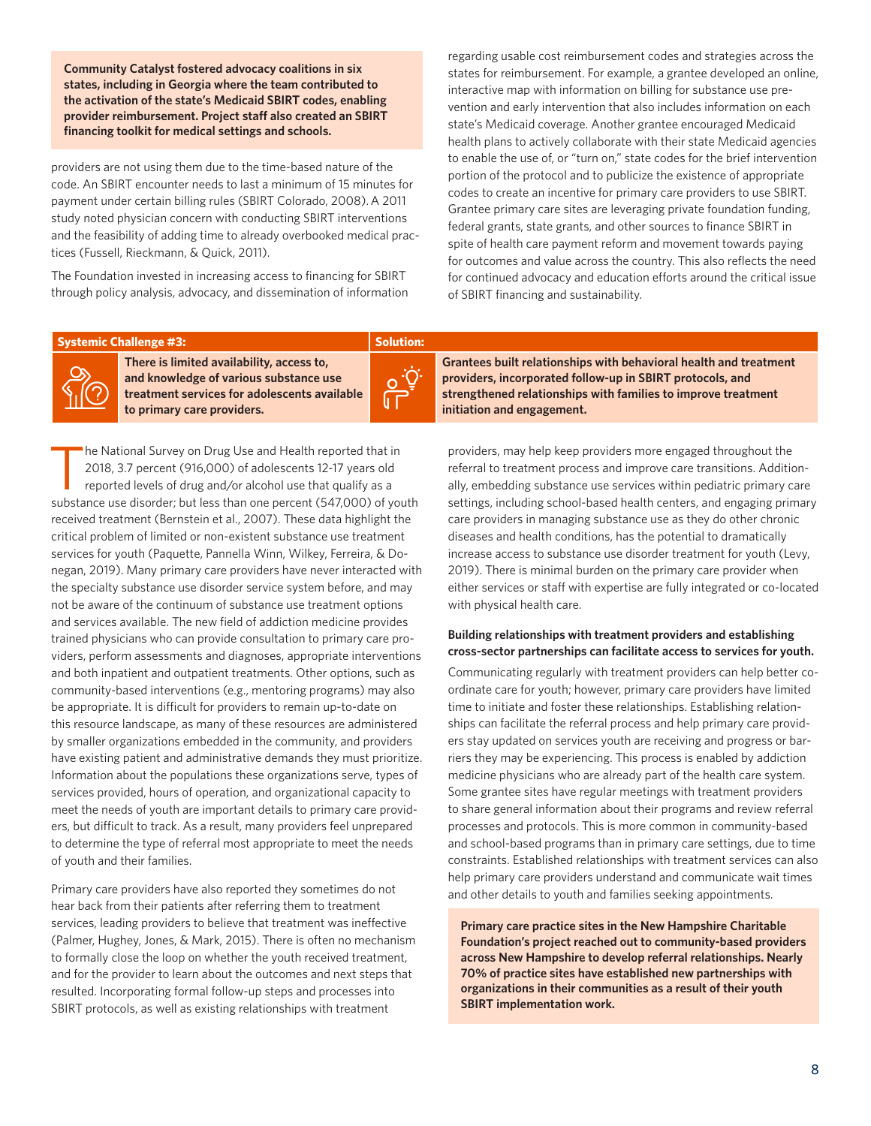**Community Catalyst fostered advocacy coalitions in six states, including in Georgia where the team contributed to the activation of the state's Medicaid SBIRT codes, enabling provider reimbursement. Project staff also created an SBIRT financing toolkit for medical settings and schools.**

providers are not using them due to the time-based nature of the code. An SBIRT encounter needs to last a minimum of 15 minutes for payment under certain billing rules (SBIRT Colorado, 2008).A 2011 study noted physician concern with conducting SBIRT interventions and the feasibility of adding time to already overbooked medical practices (Fussell, Rieckmann, & Quick, 2011).

The Foundation invested in increasing access to financing for SBIRT through policy analysis, advocacy, and dissemination of information

**There is limited availability, access to,** 

regarding usable cost reimbursement codes and strategies across the states for reimbursement. For example, a grantee developed an online, interactive map with information on billing for substance use prevention and early intervention that also includes information on each state's Medicaid coverage. Another grantee encouraged Medicaid health plans to actively collaborate with their state Medicaid agencies to enable the use of, or "turn on," state codes for the brief intervention portion of the protocol and to publicize the existence of appropriate codes to create an incentive for primary care providers to use SBIRT. Grantee primary care sites are leveraging private foundation funding, federal grants, state grants, and other sources to finance SBIRT in spite of health care payment reform and movement towards paying for outcomes and value across the country. This also reflects the need for continued advocacy and education efforts around the critical issue of SBIRT financing and sustainability.

#### **Systemic Challenge #3: Systemic Challenge #3: Solution: Solution: Solution: Solution:**

**and knowledge of various substance use treatment services for adolescents available to primary care providers.** 



The National Survey on Drug Use and Health reported that in<br>2018, 3.7 percent (916,000) of adolescents 12-17 years old<br>reported levels of drug and/or alcohol use that qualify as a 2018, 3.7 percent (916,000) of adolescents 12-17 years old reported levels of drug and/or alcohol use that qualify as a substance use disorder; but less than one percent (547,000) of youth received treatment (Bernstein et al., 2007). These data highlight the critical problem of limited or non-existent substance use treatment services for youth (Paquette, Pannella Winn, Wilkey, Ferreira, & Donegan, 2019). Many primary care providers have never interacted with the specialty substance use disorder service system before, and may not be aware of the continuum of substance use treatment options and services available. The new field of addiction medicine provides trained physicians who can provide consultation to primary care providers, perform assessments and diagnoses, appropriate interventions and both inpatient and outpatient treatments. Other options, such as community-based interventions (e.g., mentoring programs) may also be appropriate. It is difficult for providers to remain up-to-date on this resource landscape, as many of these resources are administered by smaller organizations embedded in the community, and providers have existing patient and administrative demands they must prioritize. Information about the populations these organizations serve, types of services provided, hours of operation, and organizational capacity to meet the needs of youth are important details to primary care providers, but difficult to track. As a result, many providers feel unprepared to determine the type of referral most appropriate to meet the needs of youth and their families.

Primary care providers have also reported they sometimes do not hear back from their patients after referring them to treatment services, leading providers to believe that treatment was ineffective (Palmer, Hughey, Jones, & Mark, 2015). There is often no mechanism to formally close the loop on whether the youth received treatment, and for the provider to learn about the outcomes and next steps that resulted. Incorporating formal follow-up steps and processes into SBIRT protocols, as well as existing relationships with treatment

**Grantees built relationships with behavioral health and treatment providers, incorporated follow-up in SBIRT protocols, and strengthened relationships with families to improve treatment initiation and engagement.**

providers, may help keep providers more engaged throughout the referral to treatment process and improve care transitions. Additionally, embedding substance use services within pediatric primary care settings, including school-based health centers, and engaging primary care providers in managing substance use as they do other chronic diseases and health conditions, has the potential to dramatically increase access to substance use disorder treatment for youth (Levy, 2019). There is minimal burden on the primary care provider when either services or staff with expertise are fully integrated or co-located with physical health care.

# **Building relationships with treatment providers and establishing cross-sector partnerships can facilitate access to services for youth.**

Communicating regularly with treatment providers can help better coordinate care for youth; however, primary care providers have limited time to initiate and foster these relationships. Establishing relationships can facilitate the referral process and help primary care providers stay updated on services youth are receiving and progress or barriers they may be experiencing. This process is enabled by addiction medicine physicians who are already part of the health care system. Some grantee sites have regular meetings with treatment providers to share general information about their programs and review referral processes and protocols. This is more common in community-based and school-based programs than in primary care settings, due to time constraints. Established relationships with treatment services can also help primary care providers understand and communicate wait times and other details to youth and families seeking appointments.

**Primary care practice sites in the New Hampshire Charitable Foundation's project reached out to community-based providers across New Hampshire to develop referral relationships. Nearly 70% of practice sites have established new partnerships with organizations in their communities as a result of their youth SBIRT implementation work.**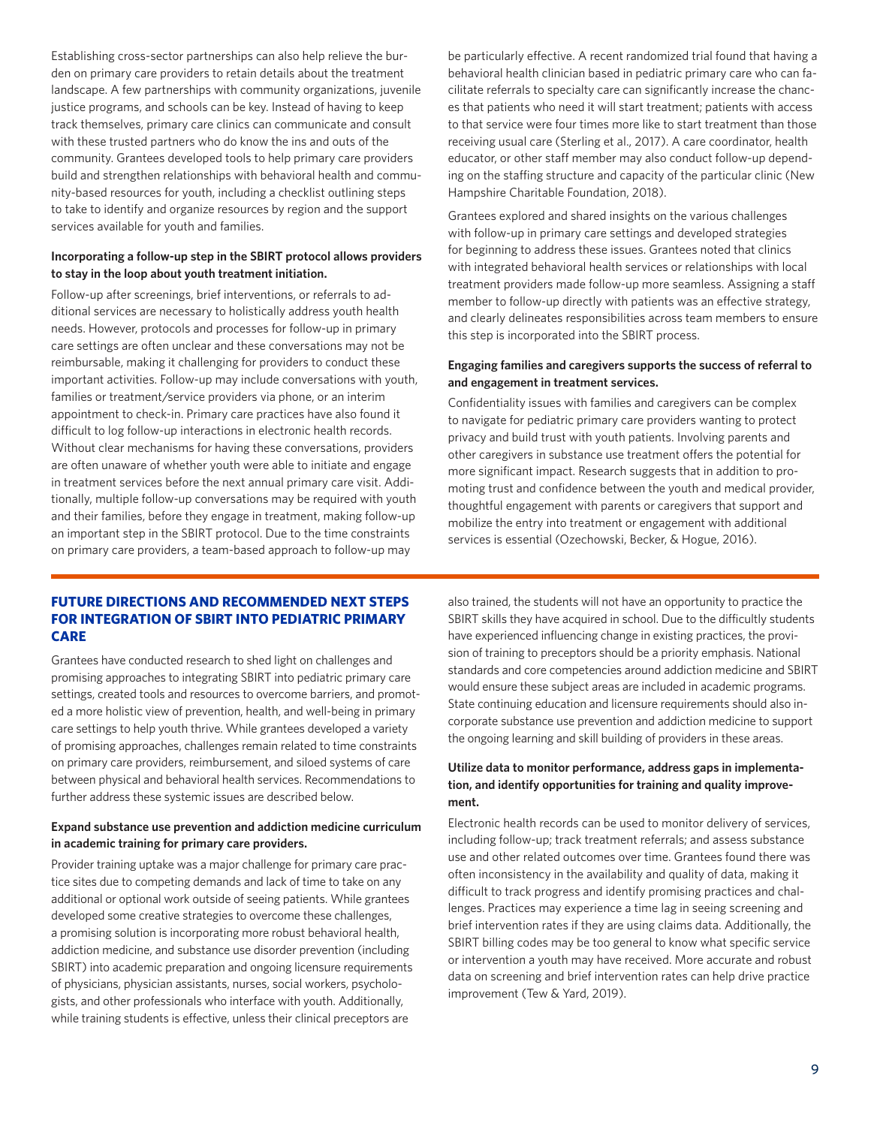Establishing cross-sector partnerships can also help relieve the burden on primary care providers to retain details about the treatment landscape. A few partnerships with community organizations, juvenile justice programs, and schools can be key. Instead of having to keep track themselves, primary care clinics can communicate and consult with these trusted partners who do know the ins and outs of the community. Grantees developed tools to help primary care providers build and strengthen relationships with behavioral health and community-based resources for youth, including a checklist outlining steps to take to identify and organize resources by region and the support services available for youth and families.

# **Incorporating a follow-up step in the SBIRT protocol allows providers to stay in the loop about youth treatment initiation.**

Follow-up after screenings, brief interventions, or referrals to additional services are necessary to holistically address youth health needs. However, protocols and processes for follow-up in primary care settings are often unclear and these conversations may not be reimbursable, making it challenging for providers to conduct these important activities. Follow-up may include conversations with youth, families or treatment/service providers via phone, or an interim appointment to check-in. Primary care practices have also found it difficult to log follow-up interactions in electronic health records. Without clear mechanisms for having these conversations, providers are often unaware of whether youth were able to initiate and engage in treatment services before the next annual primary care visit. Additionally, multiple follow-up conversations may be required with youth and their families, before they engage in treatment, making follow-up an important step in the SBIRT protocol. Due to the time constraints on primary care providers, a team-based approach to follow-up may

be particularly effective. A recent randomized trial found that having a behavioral health clinician based in pediatric primary care who can facilitate referrals to specialty care can significantly increase the chances that patients who need it will start treatment; patients with access to that service were four times more like to start treatment than those receiving usual care (Sterling et al., 2017). A care coordinator, health educator, or other staff member may also conduct follow-up depending on the staffing structure and capacity of the particular clinic (New Hampshire Charitable Foundation, 2018).

Grantees explored and shared insights on the various challenges with follow-up in primary care settings and developed strategies for beginning to address these issues. Grantees noted that clinics with integrated behavioral health services or relationships with local treatment providers made follow-up more seamless. Assigning a staff member to follow-up directly with patients was an effective strategy, and clearly delineates responsibilities across team members to ensure this step is incorporated into the SBIRT process.

## **Engaging families and caregivers supports the success of referral to and engagement in treatment services.**

Confidentiality issues with families and caregivers can be complex to navigate for pediatric primary care providers wanting to protect privacy and build trust with youth patients. Involving parents and other caregivers in substance use treatment offers the potential for more significant impact. Research suggests that in addition to promoting trust and confidence between the youth and medical provider, thoughtful engagement with parents or caregivers that support and mobilize the entry into treatment or engagement with additional services is essential (Ozechowski, Becker, & Hogue, 2016).

# **FUTURE DIRECTIONS AND RECOMMENDED NEXT STEPS FOR INTEGRATION OF SBIRT INTO PEDIATRIC PRIMARY CARE**

Grantees have conducted research to shed light on challenges and promising approaches to integrating SBIRT into pediatric primary care settings, created tools and resources to overcome barriers, and promoted a more holistic view of prevention, health, and well-being in primary care settings to help youth thrive. While grantees developed a variety of promising approaches, challenges remain related to time constraints on primary care providers, reimbursement, and siloed systems of care between physical and behavioral health services. Recommendations to further address these systemic issues are described below.

# **Expand substance use prevention and addiction medicine curriculum in academic training for primary care providers.**

Provider training uptake was a major challenge for primary care practice sites due to competing demands and lack of time to take on any additional or optional work outside of seeing patients. While grantees developed some creative strategies to overcome these challenges, a promising solution is incorporating more robust behavioral health, addiction medicine, and substance use disorder prevention (including SBIRT) into academic preparation and ongoing licensure requirements of physicians, physician assistants, nurses, social workers, psychologists, and other professionals who interface with youth. Additionally, while training students is effective, unless their clinical preceptors are

also trained, the students will not have an opportunity to practice the SBIRT skills they have acquired in school. Due to the difficultly students have experienced influencing change in existing practices, the provision of training to preceptors should be a priority emphasis. National standards and core competencies around addiction medicine and SBIRT would ensure these subject areas are included in academic programs. State continuing education and licensure requirements should also incorporate substance use prevention and addiction medicine to support the ongoing learning and skill building of providers in these areas.

# **Utilize data to monitor performance, address gaps in implementation, and identify opportunities for training and quality improvement.**

Electronic health records can be used to monitor delivery of services, including follow-up; track treatment referrals; and assess substance use and other related outcomes over time. Grantees found there was often inconsistency in the availability and quality of data, making it difficult to track progress and identify promising practices and challenges. Practices may experience a time lag in seeing screening and brief intervention rates if they are using claims data. Additionally, the SBIRT billing codes may be too general to know what specific service or intervention a youth may have received. More accurate and robust data on screening and brief intervention rates can help drive practice improvement (Tew & Yard, 2019).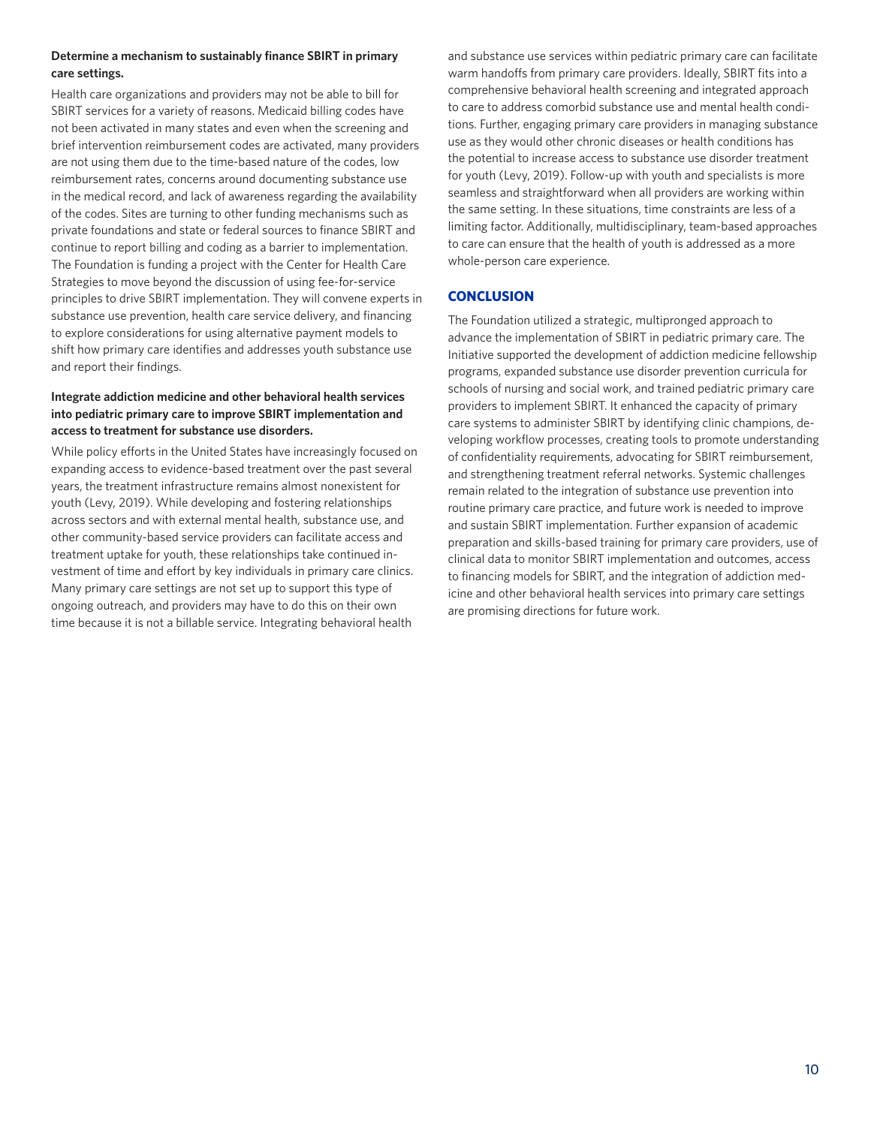# **Determine a mechanism to sustainably finance SBIRT in primary care settings.**

Health care organizations and providers may not be able to bill for SBIRT services for a variety of reasons. Medicaid billing codes have not been activated in many states and even when the screening and brief intervention reimbursement codes are activated, many providers are not using them due to the time-based nature of the codes, low reimbursement rates, concerns around documenting substance use in the medical record, and lack of awareness regarding the availability of the codes. Sites are turning to other funding mechanisms such as private foundations and state or federal sources to finance SBIRT and continue to report billing and coding as a barrier to implementation. The Foundation is funding a project with the Center for Health Care Strategies to move beyond the discussion of using fee-for-service principles to drive SBIRT implementation. They will convene experts in substance use prevention, health care service delivery, and financing to explore considerations for using alternative payment models to shift how primary care identifies and addresses youth substance use and report their findings.

# **Integrate addiction medicine and other behavioral health services into pediatric primary care to improve SBIRT implementation and access to treatment for substance use disorders.**

While policy efforts in the United States have increasingly focused on expanding access to evidence-based treatment over the past several years, the treatment infrastructure remains almost nonexistent for youth (Levy, 2019). While developing and fostering relationships across sectors and with external mental health, substance use, and other community-based service providers can facilitate access and treatment uptake for youth, these relationships take continued investment of time and effort by key individuals in primary care clinics. Many primary care settings are not set up to support this type of ongoing outreach, and providers may have to do this on their own time because it is not a billable service. Integrating behavioral health

and substance use services within pediatric primary care can facilitate warm handoffs from primary care providers. Ideally, SBIRT fits into a comprehensive behavioral health screening and integrated approach to care to address comorbid substance use and mental health conditions. Further, engaging primary care providers in managing substance use as they would other chronic diseases or health conditions has the potential to increase access to substance use disorder treatment for youth (Levy, 2019). Follow-up with youth and specialists is more seamless and straightforward when all providers are working within the same setting. In these situations, time constraints are less of a limiting factor. Additionally, multidisciplinary, team-based approaches to care can ensure that the health of youth is addressed as a more whole-person care experience.

# **CONCLUSION**

The Foundation utilized a strategic, multipronged approach to advance the implementation of SBIRT in pediatric primary care. The Initiative supported the development of addiction medicine fellowship programs, expanded substance use disorder prevention curricula for schools of nursing and social work, and trained pediatric primary care providers to implement SBIRT. It enhanced the capacity of primary care systems to administer SBIRT by identifying clinic champions, developing workflow processes, creating tools to promote understanding of confidentiality requirements, advocating for SBIRT reimbursement, and strengthening treatment referral networks. Systemic challenges remain related to the integration of substance use prevention into routine primary care practice, and future work is needed to improve and sustain SBIRT implementation. Further expansion of academic preparation and skills-based training for primary care providers, use of clinical data to monitor SBIRT implementation and outcomes, access to financing models for SBIRT, and the integration of addiction medicine and other behavioral health services into primary care settings are promising directions for future work.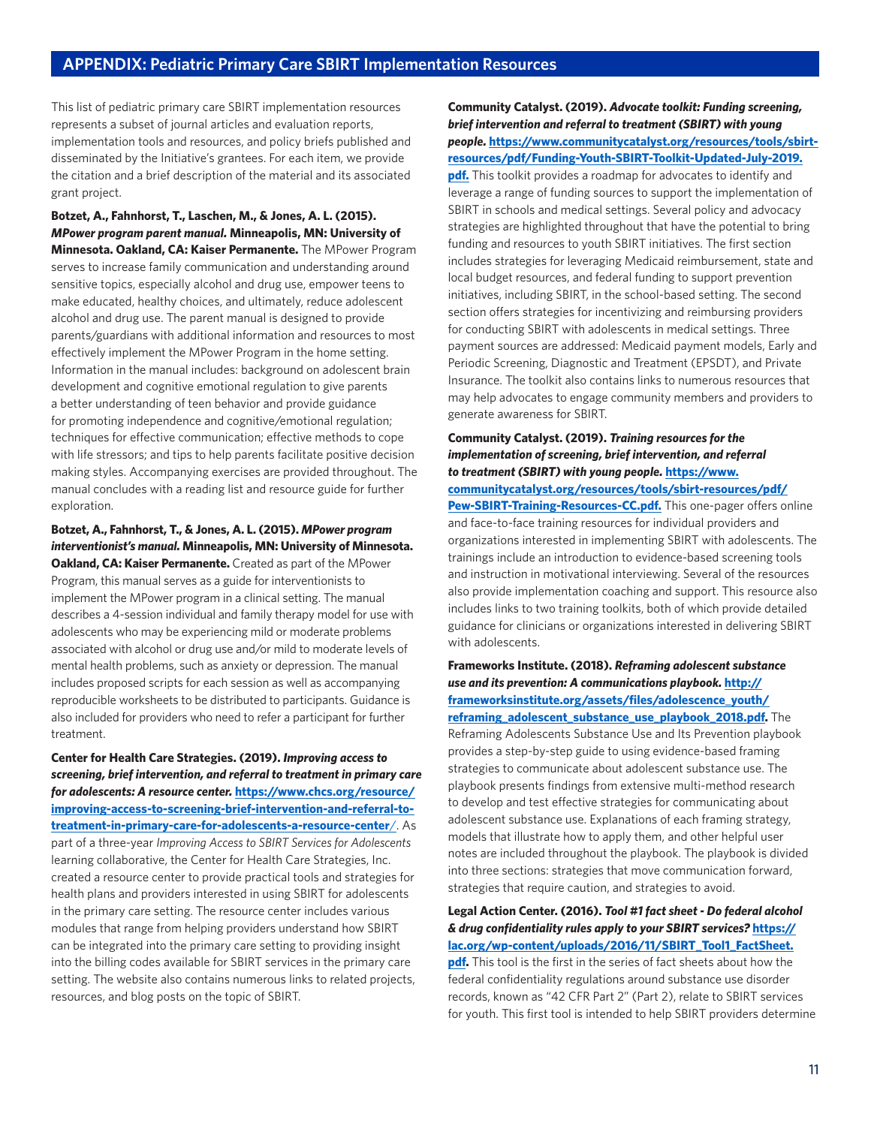This list of pediatric primary care SBIRT implementation resources represents a subset of journal articles and evaluation reports, implementation tools and resources, and policy briefs published and disseminated by the Initiative's grantees. For each item, we provide the citation and a brief description of the material and its associated grant project.

**Botzet, A., Fahnhorst, T., Laschen, M., & Jones, A. L. (2015).**  *MPower program parent manual.* **Minneapolis, MN: University of Minnesota. Oakland, CA: Kaiser Permanente.** The MPower Program serves to increase family communication and understanding around sensitive topics, especially alcohol and drug use, empower teens to make educated, healthy choices, and ultimately, reduce adolescent alcohol and drug use. The parent manual is designed to provide parents/guardians with additional information and resources to most effectively implement the MPower Program in the home setting. Information in the manual includes: background on adolescent brain development and cognitive emotional regulation to give parents a better understanding of teen behavior and provide guidance for promoting independence and cognitive/emotional regulation; techniques for effective communication; effective methods to cope with life stressors; and tips to help parents facilitate positive decision making styles. Accompanying exercises are provided throughout. The manual concludes with a reading list and resource guide for further exploration.

**Botzet, A., Fahnhorst, T., & Jones, A. L. (2015).** *MPower program interventionist's manual.* **Minneapolis, MN: University of Minnesota. Oakland, CA: Kaiser Permanente.** Created as part of the MPower Program, this manual serves as a guide for interventionists to implement the MPower program in a clinical setting. The manual describes a 4-session individual and family therapy model for use with adolescents who may be experiencing mild or moderate problems associated with alcohol or drug use and/or mild to moderate levels of mental health problems, such as anxiety or depression. The manual includes proposed scripts for each session as well as accompanying reproducible worksheets to be distributed to participants. Guidance is also included for providers who need to refer a participant for further treatment.

**Center for Health Care Strategies. (2019).** *Improving access to screening, brief intervention, and referral to treatment in primary care for adolescents: A resource center.* **[https://www.chcs.org/resource/](https://www.chcs.org/resource/improving-access-to-screening-brief-intervention-and-referral-to-treatment-in-primary-care-for-adolescents-a-resource-center/) [improving-access-to-screening-brief-intervention-and-referral-to](https://www.chcs.org/resource/improving-access-to-screening-brief-intervention-and-referral-to-treatment-in-primary-care-for-adolescents-a-resource-center/)[treatment-in-primary-care-for-adolescents-a-resource-center](https://www.chcs.org/resource/improving-access-to-screening-brief-intervention-and-referral-to-treatment-in-primary-care-for-adolescents-a-resource-center/)**/. As part of a three-year *Improving Access to SBIRT Services for Adolescents*  learning collaborative, the Center for Health Care Strategies, Inc. created a resource center to provide practical tools and strategies for health plans and providers interested in using SBIRT for adolescents in the primary care setting. The resource center includes various modules that range from helping providers understand how SBIRT can be integrated into the primary care setting to providing insight into the billing codes available for SBIRT services in the primary care setting. The website also contains numerous links to related projects, resources, and blog posts on the topic of SBIRT.

**Community Catalyst. (2019).** *Advocate toolkit: Funding screening, brief intervention and referral to treatment (SBIRT) with young people.* **[https://www.communitycatalyst.org/resources/tools/sbirt](https://www.communitycatalyst.org/resources/tools/sbirt-resources/pdf/Funding-Youth-SBIRT-Toolkit-Updated-July-2019.pdf)[resources/pdf/Funding-Youth-SBIRT-Toolkit-Updated-July-2019.](https://www.communitycatalyst.org/resources/tools/sbirt-resources/pdf/Funding-Youth-SBIRT-Toolkit-Updated-July-2019.pdf)**

**[pdf.](https://www.communitycatalyst.org/resources/tools/sbirt-resources/pdf/Funding-Youth-SBIRT-Toolkit-Updated-July-2019.pdf)** This toolkit provides a roadmap for advocates to identify and leverage a range of funding sources to support the implementation of SBIRT in schools and medical settings. Several policy and advocacy strategies are highlighted throughout that have the potential to bring funding and resources to youth SBIRT initiatives. The first section includes strategies for leveraging Medicaid reimbursement, state and local budget resources, and federal funding to support prevention initiatives, including SBIRT, in the school-based setting. The second section offers strategies for incentivizing and reimbursing providers for conducting SBIRT with adolescents in medical settings. Three payment sources are addressed: Medicaid payment models, Early and Periodic Screening, Diagnostic and Treatment (EPSDT), and Private Insurance. The toolkit also contains links to numerous resources that may help advocates to engage community members and providers to generate awareness for SBIRT.

# **Community Catalyst. (2019).** *Training resources for the implementation of screening, brief intervention, and referral to treatment (SBIRT) with young people.* **[https://www.](https://www.communitycatalyst.org/resources/tools/sbirt-resources/pdf/Pew-SBIRT-Training-Resources-CC.pdf)**

**[communitycatalyst.org/resources/tools/sbirt-resources/pdf/](https://www.communitycatalyst.org/resources/tools/sbirt-resources/pdf/Pew-SBIRT-Training-Resources-CC.pdf) [Pew-SBIRT-Training-Resources-CC.pdf.](https://www.communitycatalyst.org/resources/tools/sbirt-resources/pdf/Pew-SBIRT-Training-Resources-CC.pdf)** This one-pager offers online and face-to-face training resources for individual providers and organizations interested in implementing SBIRT with adolescents. The trainings include an introduction to evidence-based screening tools and instruction in motivational interviewing. Several of the resources also provide implementation coaching and support. This resource also includes links to two training toolkits, both of which provide detailed guidance for clinicians or organizations interested in delivering SBIRT with adolescents.

**Frameworks Institute. (2018).** *Reframing adolescent substance use and its prevention: A communications playbook.* **[http://](http://frameworksinstitute.org/assets/files/adolescence_youth/reframing_adolescent_substance_use_playbook_2018.pdf) [frameworksinstitute.org/assets/files/adolescence\\_youth/](http://frameworksinstitute.org/assets/files/adolescence_youth/reframing_adolescent_substance_use_playbook_2018.pdf) [reframing\\_adolescent\\_substance\\_use\\_playbook\\_2018.pdf.](http://frameworksinstitute.org/assets/files/adolescence_youth/reframing_adolescent_substance_use_playbook_2018.pdf)** The Reframing Adolescents Substance Use and Its Prevention playbook provides a step-by-step guide to using evidence-based framing strategies to communicate about adolescent substance use. The playbook presents findings from extensive multi-method research to develop and test effective strategies for communicating about adolescent substance use. Explanations of each framing strategy, models that illustrate how to apply them, and other helpful user notes are included throughout the playbook. The playbook is divided into three sections: strategies that move communication forward, strategies that require caution, and strategies to avoid.

**Legal Action Center. (2016).** *Tool #1 fact sheet - Do federal alcohol & drug confidentiality rules apply to your SBIRT services?* **[https://](https://lac.org/wp-content/uploads/2016/11/SBIRT_Tool1_FactSheet.pdf) [lac.org/wp-content/uploads/2016/11/SBIRT\\_Tool1\\_FactSheet.](https://lac.org/wp-content/uploads/2016/11/SBIRT_Tool1_FactSheet.pdf)**

**[pdf.](https://lac.org/wp-content/uploads/2016/11/SBIRT_Tool1_FactSheet.pdf)** This tool is the first in the series of fact sheets about how the federal confidentiality regulations around substance use disorder records, known as "42 CFR Part 2" (Part 2), relate to SBIRT services for youth. This first tool is intended to help SBIRT providers determine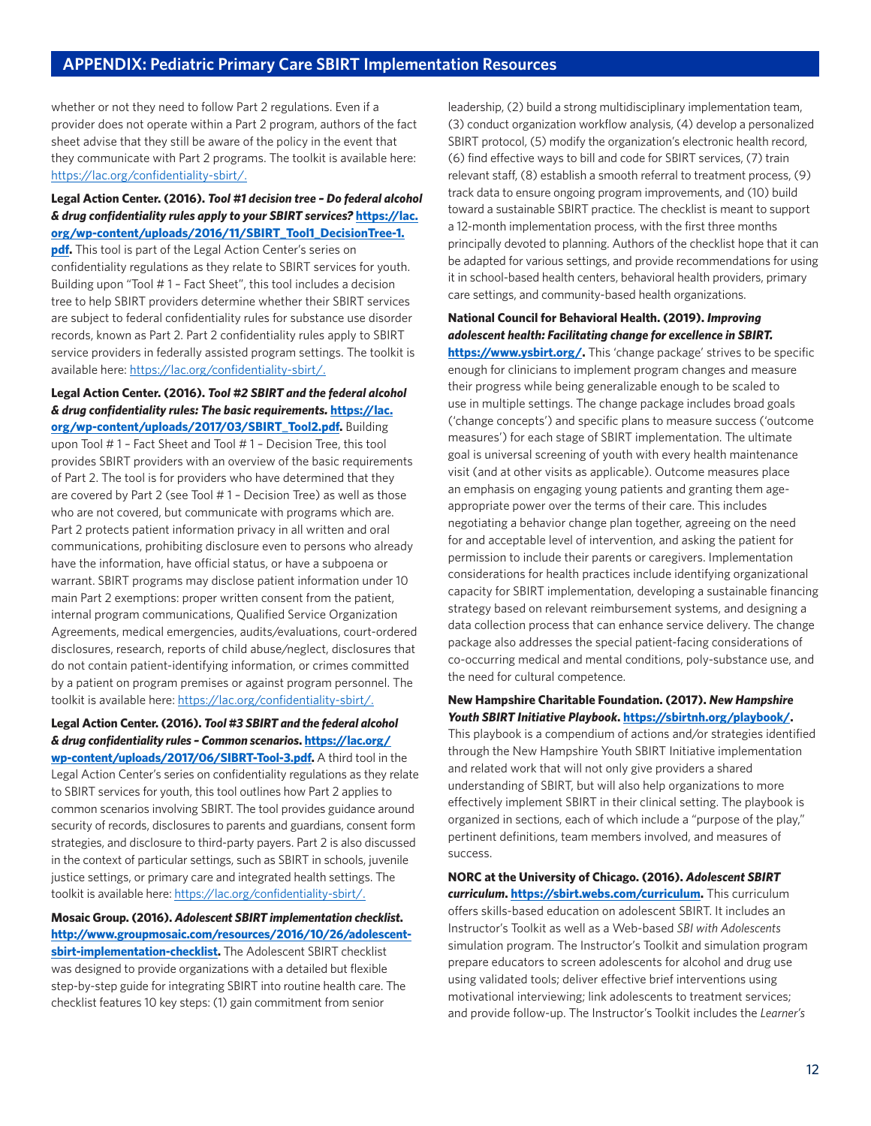whether or not they need to follow Part 2 regulations. Even if a provider does not operate within a Part 2 program, authors of the fact sheet advise that they still be aware of the policy in the event that they communicate with Part 2 programs. The toolkit is available here: [https://lac.org/confidentiality-sbirt/.](https://lac.org/confidentiality-sbirt/)

# **Legal Action Center. (2016).** *Tool #1 decision tree – Do federal alcohol & drug confidentiality rules apply to your SBIRT services?* **[https://lac.](https://lac.org/wp-content/uploads/2016/11/SBIRT_Tool1_DecisionTree-1.pdf) [org/wp-content/uploads/2016/11/SBIRT\\_Tool1\\_DecisionTree-1.](https://lac.org/wp-content/uploads/2016/11/SBIRT_Tool1_DecisionTree-1.pdf)**

**[pdf.](https://lac.org/wp-content/uploads/2016/11/SBIRT_Tool1_DecisionTree-1.pdf)** This tool is part of the Legal Action Center's series on confidentiality regulations as they relate to SBIRT services for youth. Building upon "Tool # 1 – Fact Sheet", this tool includes a decision tree to help SBIRT providers determine whether their SBIRT services are subject to federal confidentiality rules for substance use disorder records, known as Part 2. Part 2 confidentiality rules apply to SBIRT service providers in federally assisted program settings. The toolkit is available here:<https://lac.org/confidentiality-sbirt/>.

## **Legal Action Center. (2016).** *Tool #2 SBIRT and the federal alcohol & drug confidentiality rules: The basic requirements.* **[https://lac.](https://lac.org/wp-content/uploads/2017/03/SBIRT_Tool2.pdf) [org/wp-content/uploads/2017/03/SBIRT\\_Tool2.pdf.](https://lac.org/wp-content/uploads/2017/03/SBIRT_Tool2.pdf)** Building

upon Tool # 1 – Fact Sheet and Tool # 1 – Decision Tree, this tool provides SBIRT providers with an overview of the basic requirements of Part 2. The tool is for providers who have determined that they are covered by Part 2 (see Tool # 1 – Decision Tree) as well as those who are not covered, but communicate with programs which are. Part 2 protects patient information privacy in all written and oral communications, prohibiting disclosure even to persons who already have the information, have official status, or have a subpoena or warrant. SBIRT programs may disclose patient information under 10 main Part 2 exemptions: proper written consent from the patient, internal program communications, Qualified Service Organization Agreements, medical emergencies, audits/evaluations, court-ordered disclosures, research, reports of child abuse/neglect, disclosures that do not contain patient-identifying information, or crimes committed by a patient on program premises or against program personnel. The toolkit is available here: [https://lac.org/confidentiality-sbirt/.](https://lac.org/confidentiality-sbirt/)

# **Legal Action Center. (2016).** *Tool #3 SBIRT and the federal alcohol & drug confidentiality rules – Common scenarios***. [https://lac.org/](https://lac.org/wp-content/uploads/2017/06/SIBRT-Tool-3.pdf)**

**[wp-content/uploads/2017/06/SIBRT-Tool-3.pdf.](https://lac.org/wp-content/uploads/2017/06/SIBRT-Tool-3.pdf)** A third tool in the Legal Action Center's series on confidentiality regulations as they relate to SBIRT services for youth, this tool outlines how Part 2 applies to common scenarios involving SBIRT. The tool provides guidance around security of records, disclosures to parents and guardians, consent form strategies, and disclosure to third-party payers. Part 2 is also discussed in the context of particular settings, such as SBIRT in schools, juvenile justice settings, or primary care and integrated health settings. The toolkit is available here: <https://lac.org/confidentiality-sbirt/>.

**Mosaic Group. (2016).** *Adolescent SBIRT implementation checklist***. [http://www.groupmosaic.com/resources/2016/10/26/adolescent](http://www.groupmosaic.com/resources/2016/10/26/adolescent-sbirt-implementation-checklist)[sbirt-implementation-checklist](http://www.groupmosaic.com/resources/2016/10/26/adolescent-sbirt-implementation-checklist).** The Adolescent SBIRT checklist was designed to provide organizations with a detailed but flexible step-by-step guide for integrating SBIRT into routine health care. The checklist features 10 key steps: (1) gain commitment from senior

leadership, (2) build a strong multidisciplinary implementation team, (3) conduct organization workflow analysis, (4) develop a personalized SBIRT protocol, (5) modify the organization's electronic health record, (6) find effective ways to bill and code for SBIRT services, (7) train relevant staff, (8) establish a smooth referral to treatment process, (9) track data to ensure ongoing program improvements, and (10) build toward a sustainable SBIRT practice. The checklist is meant to support a 12-month implementation process, with the first three months principally devoted to planning. Authors of the checklist hope that it can be adapted for various settings, and provide recommendations for using it in school-based health centers, behavioral health providers, primary care settings, and community-based health organizations.

## **National Council for Behavioral Health. (2019).** *Improving adolescent health: Facilitating change for excellence in SBIRT.*

**<https://www.ysbirt.org/>.** This 'change package' strives to be specific enough for clinicians to implement program changes and measure their progress while being generalizable enough to be scaled to use in multiple settings. The change package includes broad goals ('change concepts') and specific plans to measure success ('outcome measures') for each stage of SBIRT implementation. The ultimate goal is universal screening of youth with every health maintenance visit (and at other visits as applicable). Outcome measures place an emphasis on engaging young patients and granting them ageappropriate power over the terms of their care. This includes negotiating a behavior change plan together, agreeing on the need for and acceptable level of intervention, and asking the patient for permission to include their parents or caregivers. Implementation considerations for health practices include identifying organizational capacity for SBIRT implementation, developing a sustainable financing strategy based on relevant reimbursement systems, and designing a data collection process that can enhance service delivery. The change package also addresses the special patient-facing considerations of co-occurring medical and mental conditions, poly-substance use, and the need for cultural competence.

#### **New Hampshire Charitable Foundation. (2017).** *New Hampshire Youth SBIRT Initiative Playbook***. [https://sbirtnh.org/playbook/.](https://sbirtnh.org/playbook/)**

This playbook is a compendium of actions and/or strategies identified through the New Hampshire Youth SBIRT Initiative implementation and related work that will not only give providers a shared understanding of SBIRT, but will also help organizations to more effectively implement SBIRT in their clinical setting. The playbook is organized in sections, each of which include a "purpose of the play," pertinent definitions, team members involved, and measures of success.

**NORC at the University of Chicago. (2016).** *Adolescent SBIRT curriculum***. [https://sbirt.webs.com/curriculum.](https://sbirt.webs.com/curriculum)** This curriculum offers skills-based education on adolescent SBIRT. It includes an Instructor's Toolkit as well as a Web-based *SBI with Adolescents* simulation program. The Instructor's Toolkit and simulation program prepare educators to screen adolescents for alcohol and drug use using validated tools; deliver effective brief interventions using motivational interviewing; link adolescents to treatment services; and provide follow-up. The Instructor's Toolkit includes the *Learner's*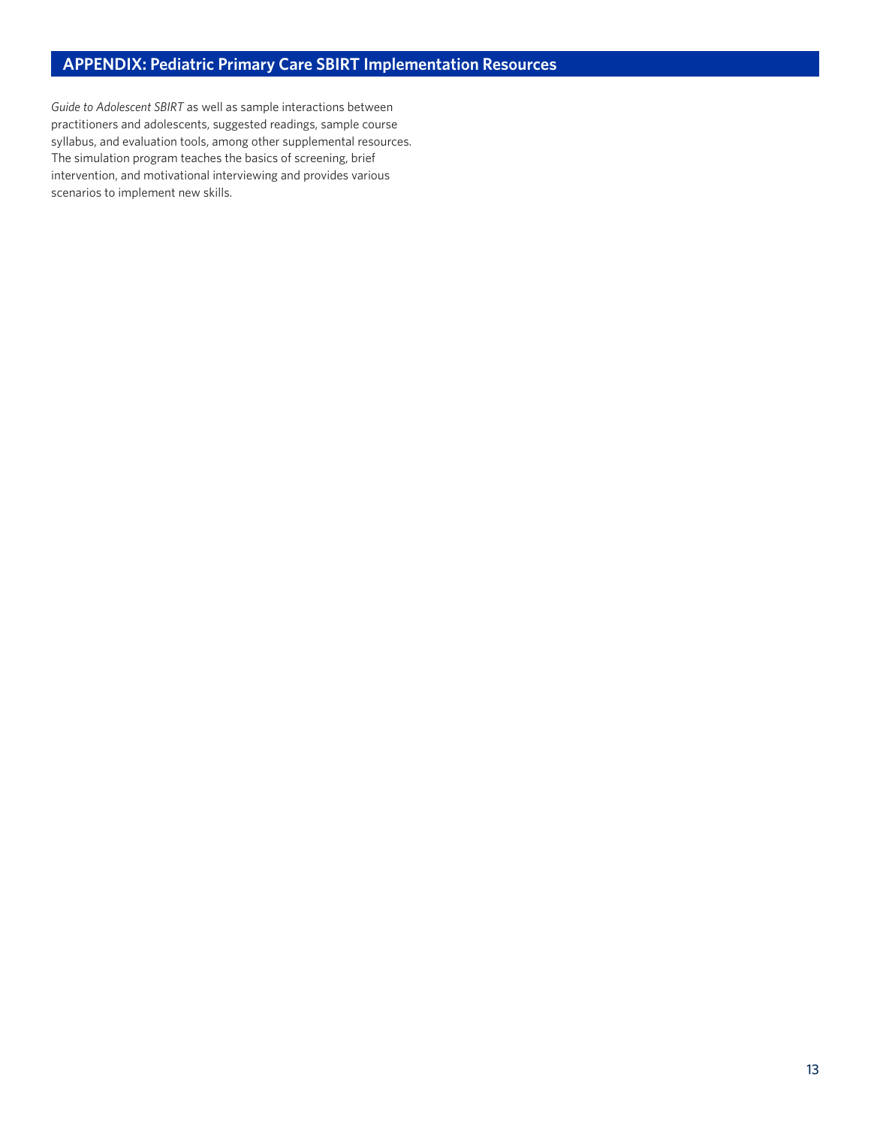# **APPENDIX: Pediatric Primary Care SBIRT Implementation Resources**

*Guide to Adolescent SBIRT* as well as sample interactions between practitioners and adolescents, suggested readings, sample course syllabus, and evaluation tools, among other supplemental resources. The simulation program teaches the basics of screening, brief intervention, and motivational interviewing and provides various scenarios to implement new skills.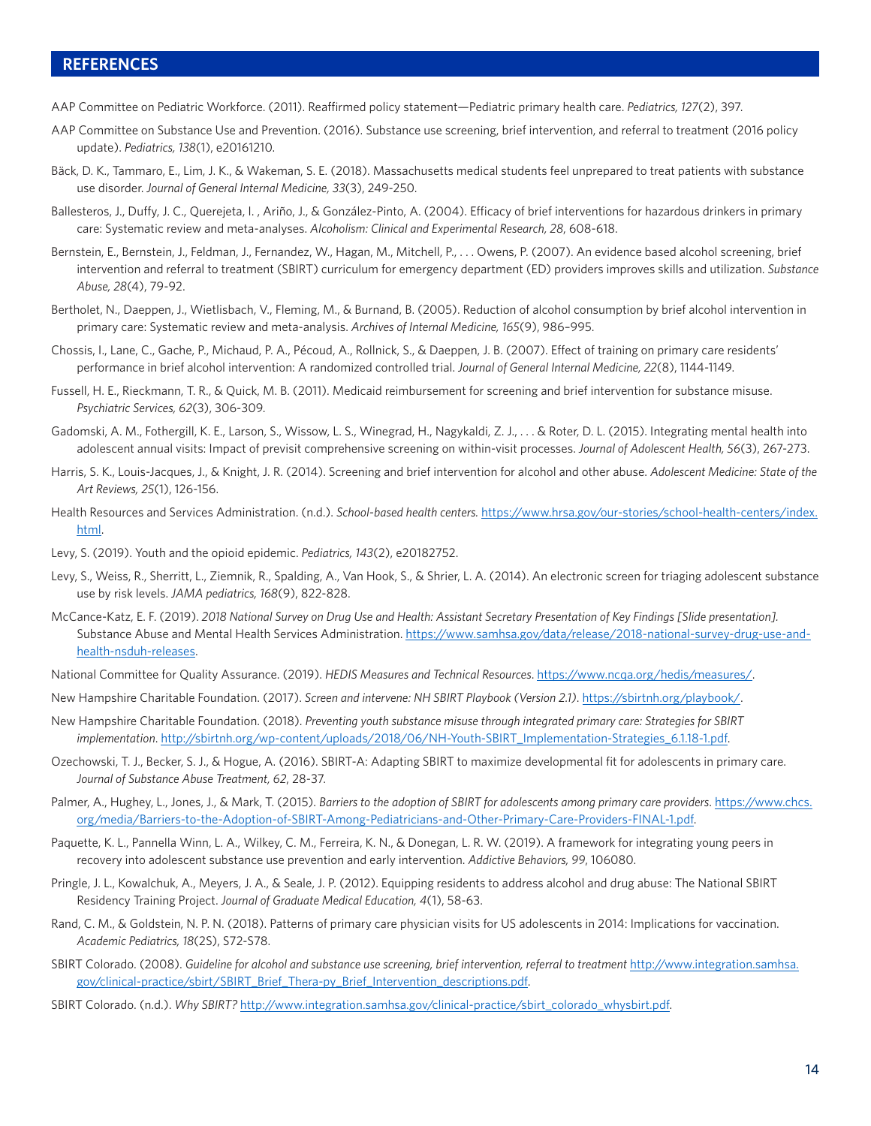# **REFERENCES**

- AAP Committee on Pediatric Workforce. (2011). Reaffirmed policy statement—Pediatric primary health care. *Pediatrics, 127*(2), 397.
- AAP Committee on Substance Use and Prevention. (2016). Substance use screening, brief intervention, and referral to treatment (2016 policy update). *Pediatrics, 138*(1), e20161210.
- Bäck, D. K., Tammaro, E., Lim, J. K., & Wakeman, S. E. (2018). Massachusetts medical students feel unprepared to treat patients with substance use disorder. *Journal of General Internal Medicine, 33*(3), 249-250.
- Ballesteros, J., Duffy, J. C., Querejeta, I. , Ariño, J., & González-Pinto, A. (2004). Efficacy of brief interventions for hazardous drinkers in primary care: Systematic review and meta-analyses. *Alcoholism: Clinical and Experimental Research, 28*, 608-618.
- Bernstein, E., Bernstein, J., Feldman, J., Fernandez, W., Hagan, M., Mitchell, P., ... Owens, P. (2007). An evidence based alcohol screening, brief intervention and referral to treatment (SBIRT) curriculum for emergency department (ED) providers improves skills and utilization. *Substance Abuse, 28*(4), 79-92.
- Bertholet, N., Daeppen, J., Wietlisbach, V., Fleming, M., & Burnand, B. (2005). Reduction of alcohol consumption by brief alcohol intervention in primary care: Systematic review and meta-analysis. *Archives of Internal Medicine, 165*(9), 986–995.
- Chossis, I., Lane, C., Gache, P., Michaud, P. A., Pécoud, A., Rollnick, S., & Daeppen, J. B. (2007). Effect of training on primary care residents' performance in brief alcohol intervention: A randomized controlled trial. *Journal of General Internal Medicine, 22*(8), 1144-1149.
- Fussell, H. E., Rieckmann, T. R., & Quick, M. B. (2011). Medicaid reimbursement for screening and brief intervention for substance misuse. *Psychiatric Services, 62*(3), 306-309.
- Gadomski, A. M., Fothergill, K. E., Larson, S., Wissow, L. S., Winegrad, H., Nagykaldi, Z. J., . . . & Roter, D. L. (2015). Integrating mental health into adolescent annual visits: Impact of previsit comprehensive screening on within-visit processes. *Journal of Adolescent Health, 56*(3), 267-273.
- Harris, S. K., Louis-Jacques, J., & Knight, J. R. (2014). Screening and brief intervention for alcohol and other abuse. *Adolescent Medicine: State of the Art Reviews, 25*(1), 126-156.
- Health Resources and Services Administration. (n.d.). *School-based health centers.* [https://www.hrsa.gov/our-stories/school-health-centers/index.](https://www.hrsa.gov/our-stories/school-health-centers/index.html) [html](https://www.hrsa.gov/our-stories/school-health-centers/index.html).
- Levy, S. (2019). Youth and the opioid epidemic. *Pediatrics, 143*(2), e20182752.
- Levy, S., Weiss, R., Sherritt, L., Ziemnik, R., Spalding, A., Van Hook, S., & Shrier, L. A. (2014). An electronic screen for triaging adolescent substance use by risk levels. *JAMA pediatrics, 168*(9), 822-828.
- McCance-Katz, E. F. (2019). *2018 National Survey on Drug Use and Health: Assistant Secretary Presentation of Key Findings [Slide presentation].* Substance Abuse and Mental Health Services Administration. [https://www.samhsa.gov/data/release/2018-national-survey-drug-use-and](https://www.samhsa.gov/data/release/2018-national-survey-drug-use-and-health-nsduh-releases)[health-nsduh-releases](https://www.samhsa.gov/data/release/2018-national-survey-drug-use-and-health-nsduh-releases).
- National Committee for Quality Assurance. (2019). *HEDIS Measures and Technical Resources*. <https://www.ncqa.org/hedis/measures/>.
- New Hampshire Charitable Foundation. (2017). *Screen and intervene: NH SBIRT Playbook (Version 2.1)*. [https://sbirtnh.org/playbook/.](https://sbirtnh.org/playbook/)
- New Hampshire Charitable Foundation. (2018). *Preventing youth substance misuse through integrated primary care: Strategies for SBIRT implementation*. [http://sbirtnh.org/wp-content/uploads/2018/06/NH-Youth-SBIRT\\_Implementation-Strategies\\_6.1.18-1.pdf.](http://sbirtnh.org/wp-content/uploads/2018/06/NH-Youth-SBIRT_Implementation-Strategies_6.1.18-1.pdf)
- Ozechowski, T. J., Becker, S. J., & Hogue, A. (2016). SBIRT-A: Adapting SBIRT to maximize developmental fit for adolescents in primary care. *Journal of Substance Abuse Treatment, 62*, 28-37.
- Palmer, A., Hughey, L., Jones, J., & Mark, T. (2015). *Barriers to the adoption of SBIRT for adolescents among primary care providers*. [https://www.chcs.](https://www.chcs.org/media/Barriers-to-the-Adoption-of-SBIRT-Among-Pediatricians-and-Other-Primary-Care-Providers-FINAL-1.pdf) [org/media/Barriers-to-the-Adoption-of-SBIRT-Among-Pediatricians-and-Other-Primary-Care-Providers-FINAL-1.pdf.](https://www.chcs.org/media/Barriers-to-the-Adoption-of-SBIRT-Among-Pediatricians-and-Other-Primary-Care-Providers-FINAL-1.pdf)
- Paquette, K. L., Pannella Winn, L. A., Wilkey, C. M., Ferreira, K. N., & Donegan, L. R. W. (2019). A framework for integrating young peers in recovery into adolescent substance use prevention and early intervention. *Addictive Behaviors, 99*, 106080.
- Pringle, J. L., Kowalchuk, A., Meyers, J. A., & Seale, J. P. (2012). Equipping residents to address alcohol and drug abuse: The National SBIRT Residency Training Project. *Journal of Graduate Medical Education, 4*(1), 58-63.
- Rand, C. M., & Goldstein, N. P. N. (2018). Patterns of primary care physician visits for US adolescents in 2014: Implications for vaccination. *Academic Pediatrics, 18*(2S), S72-S78.
- SBIRT Colorado. (2008). *Guideline for alcohol and substance use screening, brief intervention, referral to treatment* [http://www.integration.samhsa.](http://www.integration.samhsa.gov/clinical-practice/sbirt/SBIRT_Brief_Thera-py_Brief_Intervention_descriptions.pdf) [gov/clinical-practice/sbirt/SBIRT\\_Brief\\_Thera-py\\_Brief\\_Intervention\\_descriptions.pdf](http://www.integration.samhsa.gov/clinical-practice/sbirt/SBIRT_Brief_Thera-py_Brief_Intervention_descriptions.pdf).
- SBIRT Colorado. (n.d.). *Why SBIRT?* [http://www.integration.samhsa.gov/clinical-practice/sbirt\\_colorado\\_whysbirt.pdf.](http://www.integration.samhsa.gov/clinical-practice/sbirt_colorado_whysbirt.pdf)